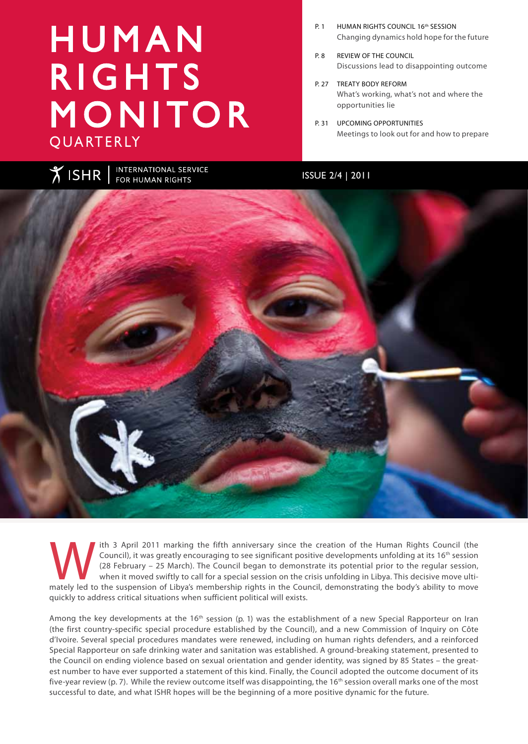# H U M A N **RIGHTS** MONITOR **QUARTERLY**

- P. 1 HUMAN RIGHTS COUNCIL 16<sup>th</sup> SESSION Changing dynamics hold hope for the future
- P. 8 REVIEW OF THE COUNCIL Discussions lead to disappointing outcome
- P. 27 TREATY BODY REFORM What's working, what's not and where the opportunities lie
- P. 31 UPCOMING OPPORTUNITIES Meetings to look out for and how to prepare

ISSUE 2/4 | 2011



The Council), it was greatly encouraging to see significant positive developments unfolding at its 16<sup>th</sup> session (28 February – 25 March). The Council began to demonstrate its potential prior to the regular session, when Council), it was greatly encouraging to see significant positive developments unfolding at its 16<sup>th</sup> session (28 February – 25 March). The Council began to demonstrate its potential prior to the regular session, when it moved swiftly to call for a special session on the crisis unfolding in Libya. This decisive move ultiquickly to address critical situations when sufficient political will exists.

Among the key developments at the 16<sup>th</sup> session [\(p. 1](#page-4-0)) was the establishment of a new Special Rapporteur on Iran (the first country-specific special procedure established by the Council), and a new Commission of Inquiry on Côte d'Ivoire. Several special procedures mandates were renewed, including on human rights defenders, and a reinforced Special Rapporteur on safe drinking water and sanitation was established. A ground-breaking statement, presented to the Council on ending violence based on sexual orientation and gender identity, was signed by 85 States – the greatest number to have ever supported a statement of this kind. Finally, the Council adopted the outcome document of its five-year review (p. 7). While the review outcome itself was disappointing, the 16<sup>th</sup> session overall marks one of the most successful to date, and what ISHR hopes will be the beginning of a more positive dynamic for the future.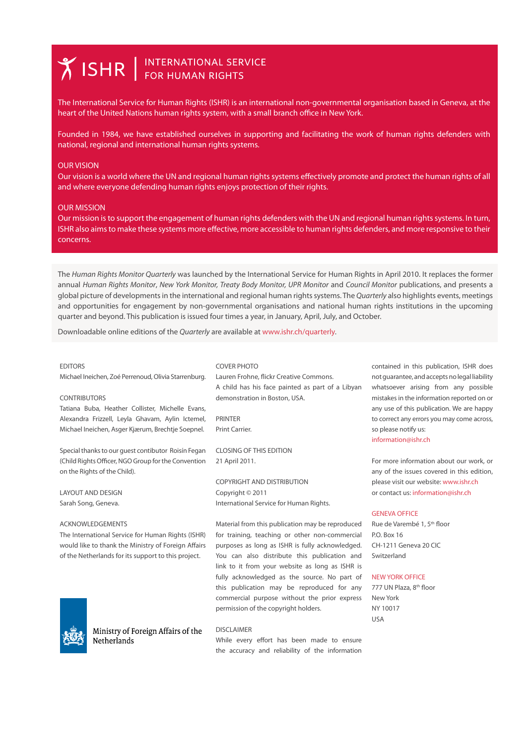# **X ISHR** SERVICE

The International Service for Human Rights (ISHR) is an international non-governmental organisation based in Geneva, at the heart of the United Nations human rights system, with a small branch office in New York.

Founded in 1984, we have established ourselves in supporting and facilitating the work of human rights defenders with national, regional and international human rights systems.

#### OUR VISION

Our vision is a world where the UN and regional human rights systems effectively promote and protect the human rights of all and where everyone defending human rights enjoys protection of their rights.

#### OUR MISSION

Our mission is to support the engagement of human rights defenders with the UN and regional human rights systems. In turn, ISHR also aims to make these systems more effective, more accessible to human rights defenders, and more responsive to their concerns.

The *Human Rights Monitor Quarterly* was launched by the International Service for Human Rights in April 2010. It replaces the former annual *Human Rights Monitor*, *New York Monitor, Treaty Body Monitor, UPR Monitor* and *Council Monitor* publications, and presents a global picture of developments in the international and regional human rights systems. The *Quarterly* also highlights events, meetings and opportunities for engagement by non-governmental organisations and national human rights institutions in the upcoming quarter and beyond. This publication is issued four times a year, in January, April, July, and October.

Downloadable online editions of the *Quarterly* are available at www.ishr.ch/quarterly.

#### COVER PHOTO

Michael Ineichen, Zoé Perrenoud, Olivia Starrenburg.

#### CONTRIBUTORS

**EDITORS** 

Tatiana Buba, Heather Collister, Michelle Evans, Alexandra Frizzell, Leyla Ghavam, Aylin Ictemel, Michael Ineichen, Asger Kjærum, Brechtje Soepnel.

Special thanks to our guest contibutor Roisín Fegan (Child Rights Officer, NGO Group for the Convention on the Rights of the Child).

LAYOUT AND DESIGN Sarah Song, Geneva.

#### ACKNOWLEDGEMENTS

The International Service for Human Rights (ISHR) would like to thank the Ministry of Foreign Affairs of the Netherlands for its support to this project.



Ministry of Foreign Affairs of the Netherlands

Lauren Frohne, flickr Creative Commons. A child has his face painted as part of a Libyan demonstration in Boston, USA.

PRINTER Print Carrier.

CLOSING OF THIS EDITION 21 April 2011.

COPYRIGHT AND DISTRIBUTION Copyright © 2011 International Service for Human Rights.

Material from this publication may be reproduced for training, teaching or other non-commercial purposes as long as ISHR is fully acknowledged. You can also distribute this publication and link to it from your website as long as ISHR is fully acknowledged as the source. No part of NEW YORK OFFICE this publication may be reproduced for any 777 UN Plaza, 8<sup>th</sup> floor commercial purpose without the prior express New York permission of the copyright holders.

contained in this publication, ISHR does not guarantee, and accepts no legal liability whatsoever arising from any possible mistakes in the information reported on or any use of this publication. We are happy to correct any errors you may come across, so please notify us:

information@ishr.ch

For more information about our work, or any of the issues covered in this edition, please visit our website: www.ishr.ch or contact us: information@ishr.ch

#### GENEVA OFFICE

Rue de Varembé 1, 5<sup>th</sup> floor P.O. Box 16 CH-1211 Geneva 20 CIC Switzerland

NY 10017 USA

DISCLAIMER

While every effort has been made to ensure the accuracy and reliability of the information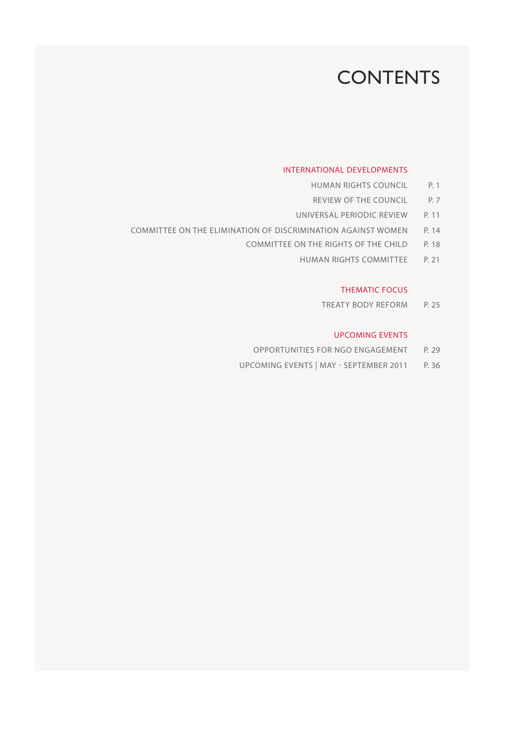### **CONTENTS**

#### INTERNATIONAL DEVELOPMENTS

- HUMAN RIGHTS COUNCIL P. 1
- REVIEW OF THE COUNCIL P. 7
- UNIVERSAL PERIODIC REVIEW P. 11
- COMMITTEE ON THE ELIMINATION OF DISCRIMINATION AGAINST WOMEN P. 14
	- COMMITTEE ON THE RIGHTS OF THE CHILD P. 18
		- HUMAN RIGHTS COMMITTEE P. 21

#### THEMATIC FOCUS

TREATY BODY REFORM P. 25

#### UPCOMING EVENTS

- OPPORTUNITIES FOR NGO ENGAGEMENT P. 29
- UPCOMING EVENTS | MAY SEPTEMBER 2011 P. 36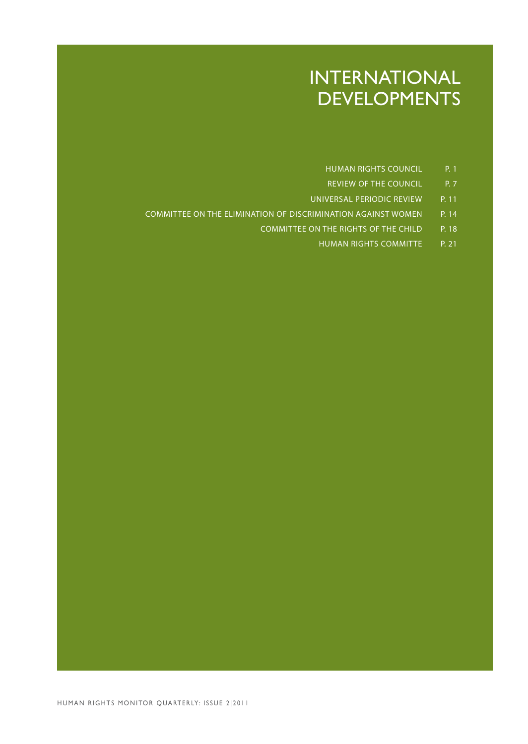### INTERNATIONAL DEVELOPMENTS

- HUMAN RIGHTS COUNCIL P. 1
- REVIEW OF THE COUNCIL P. 7
- UNIVERSAL PERIODIC REVIEW P. 11
- COMMITTEE ON THE ELIMINATION OF DISCRIMINATION AGAINST WOMEN P. 14
	- COMMITTEE ON THE RIGHTS OF THE CHILD P. 18
		- HUMAN RIGHTS COMMITTE P. 21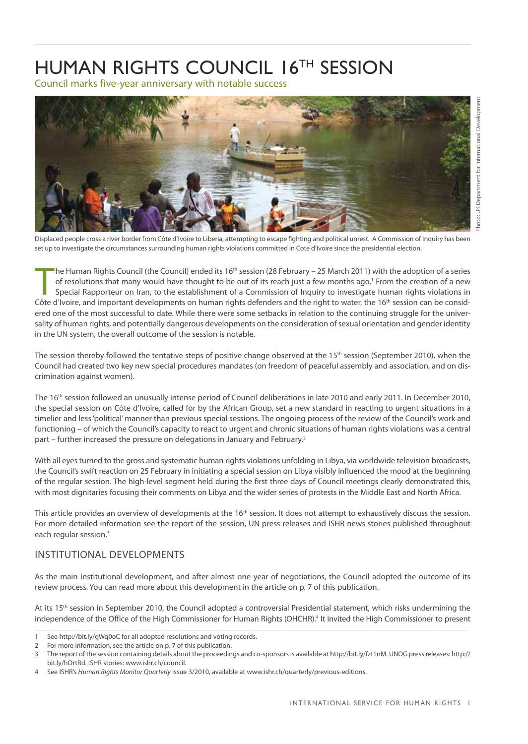### <span id="page-4-0"></span>HUMAN RIGHTS COUNCIL 16TH SESSION

Council marks five-year anniversary with notable success



Displaced people cross a river border from Côte d'Ivoire to Liberia, attempting to escape fighting and political unrest. A Commission of Inquiry has been set up to investigate the circumstances surrounding human rights violations committed in Cote d'Ivoire since the presidential election.

The Human Rights Council (the Council) ended its 16<sup>th</sup> session (28 February – 25 March 2011) with the adoption of a series of resolutions that many would have thought to be out of its reach just a few months ago.<sup>1</sup> From he Human Rights Council (the Council) ended its 16<sup>th</sup> session (28 February – 25 March 2011) with the adoption of a series of resolutions that many would have thought to be out of its reach just a few months ago.<sup>1</sup> From the creation of a new Special Rapporteur on Iran, to the establishment of a Commission of Inquiry to investigate human rights violations in ered one of the most successful to date. While there were some setbacks in relation to the continuing struggle for the universality of human rights, and potentially dangerous developments on the consideration of sexual orientation and gender identity in the UN system, the overall outcome of the session is notable.

The session thereby followed the tentative steps of positive change observed at the 15<sup>th</sup> session (September 2010), when the Council had created two key new special procedures mandates (on freedom of peaceful assembly and association, and on discrimination against women).

The 16<sup>th</sup> session followed an unusually intense period of Council deliberations in late 2010 and early 2011. In December 2010, the special session on Côte d'Ivoire, called for by the African Group, set a new standard in reacting to urgent situations in a timelier and less 'political' manner than previous special sessions. The ongoing process of the review of the Council's work and functioning – of which the Council's capacity to react to urgent and chronic situations of human rights violations was a central part – further increased the pressure on delegations in January and February.<sup>2</sup>

With all eyes turned to the gross and systematic human rights violations unfolding in Libya, via worldwide television broadcasts, the Council's swift reaction on 25 February in initiating a special session on Libya visibly influenced the mood at the beginning of the regular session. The high-level segment held during the first three days of Council meetings clearly demonstrated this, with most dignitaries focusing their comments on Libya and the wider series of protests in the Middle East and North Africa.

This article provides an overview of developments at the 16<sup>th</sup> session. It does not attempt to exhaustively discuss the session. For more detailed information see the report of the session, UN press releases and ISHR news stories published throughout each regular session.<sup>3</sup>

#### Institutional developments

As the main institutional development, and after almost one year of negotiations, the Council adopted the outcome of its review process. You can read more about this development in the article on [p. 7](#page-10-0) of this publication.

At its 15<sup>th</sup> session in September 2010, the Council adopted a controversial Presidential statement, which risks undermining the independence of the Office of the High Commissioner for Human Rights (OHCHR).<sup>4</sup> It invited the High Commissioner to present

Photo: UK Department for International Development Photo: UK Department for International Developme

<sup>1</sup> See <http://bit.ly/gWq0oC>for all adopted resolutions and voting records.

<sup>2</sup> For more information, see the article on [p. 7](#page-10-0) of this publication.

<sup>3</sup> The report of the session containing details about the proceedings and co-sponsors is available at [http://bit.ly/fzt1nM.](http://bit.ly/fzt1nM) UNOG press releases: [http://](http://bit.ly/hOrtRd) [bit.ly/hOrtRd.](http://bit.ly/hOrtRd) ISHR stories: [www.ishr.ch/council](http://www.ishr.ch/council).

<sup>4</sup> See ISHR's *Human Rights Monitor Quarterly* issue 3/2010, available at [www.ishr.ch/quarterly/previous-editions.](http://www.ishr.ch/quarterly/previous-editions)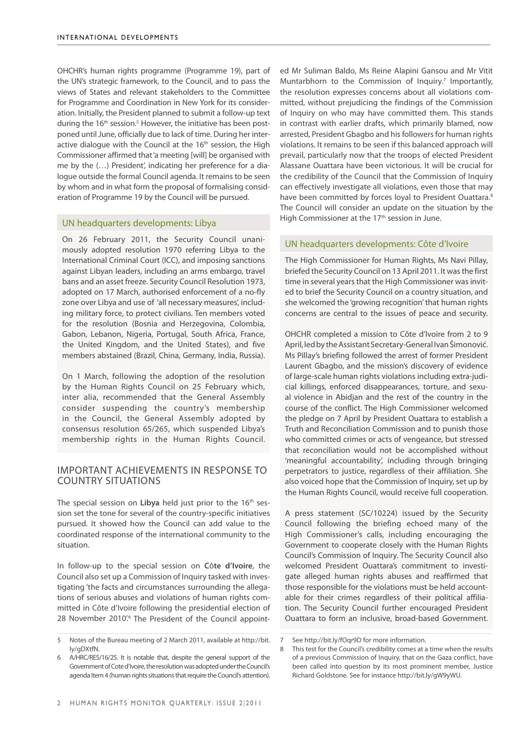OHCHR's human rights programme (Programme 19), part of the UN's strategic framework, to the Council, and to pass the views of States and relevant stakeholders to the Committee for Programme and Coordination in New York for its consideration. Initially, the President planned to submit a follow-up text during the 16<sup>th</sup> session.<sup>5</sup> However, the initiative has been postponed until June, officially due to lack of time. During her interactive dialogue with the Council at the 16<sup>th</sup> session, the High Commissioner affirmed that 'a meeting [will] be organised with me by the (…) President', indicating her preference for a dialogue outside the formal Council agenda. It remains to be seen by whom and in what form the proposal of formalising consideration of Programme 19 by the Council will be pursued.

#### UN headquarters developments: Libya

On 26 February 2011, the Security Council unanimously adopted resolution 1970 referring Libya to the International Criminal Court (ICC), and imposing sanctions against Libyan leaders, including an arms embargo, travel bans and an asset freeze. Security Council Resolution 1973, adopted on 17 March, authorised enforcement of a no-fly zone over Libya and use of 'all necessary measures', including military force, to protect civilians. Ten members voted for the resolution (Bosnia and Herzegovina, Colombia, Gabon, Lebanon, Nigeria, Portugal, South Africa, France, the United Kingdom, and the United States), and five members abstained (Brazil, China, Germany, India, Russia).

On 1 March, following the adoption of the resolution by the Human Rights Council on 25 February which, inter alia, recommended that the General Assembly consider suspending the country's membership in the Council, the General Assembly adopted by consensus resolution 65/265, which suspended Libya's membership rights in the Human Rights Council.

#### Important achievements in response to country situations

The special session on **Libya** held just prior to the 16<sup>th</sup> session set the tone for several of the country-specific initiatives pursued. It showed how the Council can add value to the coordinated response of the international community to the situation.

In follow-up to the special session on **C**ô**te d'Ivoire**, the Council also set up a Commission of Inquiry tasked with investigating 'the facts and circumstances surrounding the allegations of serious abuses and violations of human rights committed in Côte d'Ivoire following the presidential election of 28 November 2010'.<sup>6</sup> The President of the Council appointed Mr Suliman Baldo, Ms Reine Alapini Gansou and Mr Vitit Muntarbhorn to the Commission of Inquiry.<sup>7</sup> Importantly, the resolution expresses concerns about all violations committed, without prejudicing the findings of the Commission of Inquiry on who may have committed them. This stands in contrast with earlier drafts, which primarily blamed, now arrested, President Gbagbo and his followers for human rights violations. It remains to be seen if this balanced approach will prevail, particularly now that the troops of elected President Alassane Ouattara have been victorious. It will be crucial for the credibility of the Council that the Commission of Inquiry can effectively investigate all violations, even those that may have been committed by forces loyal to President Ouattara.<sup>8</sup> The Council will consider an update on the situation by the High Commissioner at the 17<sup>th</sup> session in June.

#### UN headquarters developments: Côte d'Ivoire

The High Commissioner for Human Rights, Ms Navi Pillay, briefed the Security Council on 13 April 2011. It was the first time in several years that the High Commissioner was invited to brief the Security Council on a country situation, and she welcomed the 'growing recognition' that human rights concerns are central to the issues of peace and security.

OHCHR completed a mission to Côte d'Ivoire from 2 to 9 April, led by the Assistant Secretary-General Ivan Šimonović. Ms Pillay's briefing followed the arrest of former President Laurent Gbagbo, and the mission's discovery of evidence of large-scale human rights violations including extra-judicial killings, enforced disappearances, torture, and sexual violence in Abidjan and the rest of the country in the course of the conflict. The High Commissioner welcomed the pledge on 7 April by President Ouattara to establish a Truth and Reconciliation Commission and to punish those who committed crimes or acts of vengeance, but stressed that reconciliation would not be accomplished without 'meaningful accountability', including through bringing perpetrators to justice, regardless of their affiliation. She also voiced hope that the Commission of Inquiry, set up by the Human Rights Council, would receive full cooperation.

A press statement (SC/10224) issued by the Security Council following the briefing echoed many of the High Commissioner's calls, including encouraging the Government to cooperate closely with the Human Rights Council's Commission of Inquiry. The Security Council also welcomed President Ouattara's commitment to investigate alleged human rights abuses and reaffirmed that those responsible for the violations must be held accountable for their crimes regardless of their political affiliation. The Security Council further encouraged President Ouattara to form an inclusive, broad-based Government.

<sup>5</sup> Notes of the Bureau meeting of 2 March 2011, available at [http://bit.](http://bit.ly/gDXtfN) [ly/gDXtfN.](http://bit.ly/gDXtfN)

<sup>6</sup> A/HRC/RES/16/25. It is notable that, despite the general support of the Government of Cote d'Ivoire, the resolution was adopted under the Council's agenda Item 4 (human rights situations that require the Council's attention).

<sup>7</sup> See <http://bit.ly/fOqr9D>for more information.

<sup>8</sup> This test for the Council's credibility comes at a time when the results of a previous Commission of Inquiry, that on the Gaza conflict, have been called into question by its most prominent member, Justice Richard Goldstone. See for instance <http://bit.ly/gW9yWU>.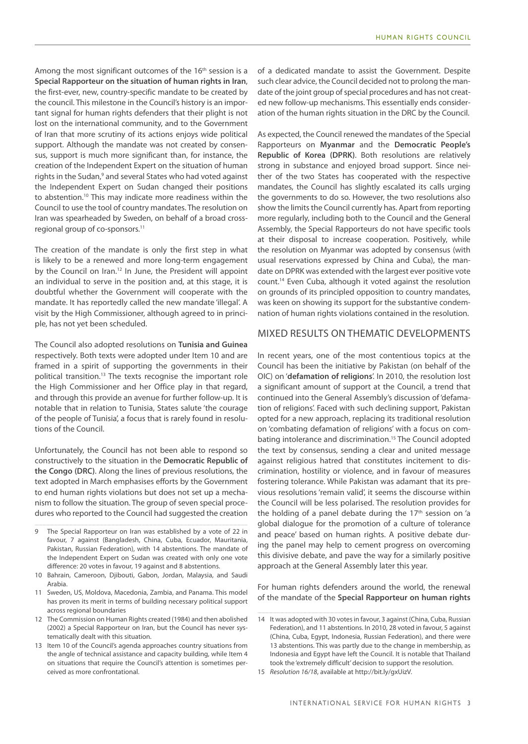Among the most significant outcomes of the 16<sup>th</sup> session is a **Special Rapporteur on the situation of human rights in Iran**, the first-ever, new, country-specific mandate to be created by the council. This milestone in the Council's history is an important signal for human rights defenders that their plight is not lost on the international community, and to the Government of Iran that more scrutiny of its actions enjoys wide political support. Although the mandate was not created by consensus, support is much more significant than, for instance, the creation of the Independent Expert on the situation of human rights in the Sudan,<sup>9</sup> and several States who had voted against the Independent Expert on Sudan changed their positions to abstention.10 This may indicate more readiness within the Council to use the tool of country mandates. The resolution on Iran was spearheaded by Sweden, on behalf of a broad crossregional group of co-sponsors.11

The creation of the mandate is only the first step in what is likely to be a renewed and more long-term engagement by the Council on Iran.<sup>12</sup> In June, the President will appoint an individual to serve in the position and, at this stage, it is doubtful whether the Government will cooperate with the mandate. It has reportedly called the new mandate 'illegal'. A visit by the High Commissioner, although agreed to in principle, has not yet been scheduled.

The Council also adopted resolutions on **Tunisia and Guinea**  respectively. Both texts were adopted under Item 10 and are framed in a spirit of supporting the governments in their political transition.13 The texts recognise the important role the High Commissioner and her Office play in that regard, and through this provide an avenue for further follow-up. It is notable that in relation to Tunisia, States salute 'the courage of the people of Tunisia', a focus that is rarely found in resolutions of the Council.

Unfortunately, the Council has not been able to respond so constructively to the situation in the **Democratic Republic of the Congo (DRC)**. Along the lines of previous resolutions, the text adopted in March emphasises efforts by the Government to end human rights violations but does not set up a mechanism to follow the situation. The group of seven special procedures who reported to the Council had suggested the creation

- 9 The Special Rapporteur on Iran was established by a vote of 22 in favour, 7 against (Bangladesh, China, Cuba, Ecuador, Mauritania, Pakistan, Russian Federation), with 14 abstentions. The mandate of the Independent Expert on Sudan was created with only one vote difference: 20 votes in favour, 19 against and 8 abstentions.
- 10 Bahrain, Cameroon, Djibouti, Gabon, Jordan, Malaysia, and Saudi Arabia.
- 11 Sweden, US, Moldova, Macedonia, Zambia, and Panama. This model has proven its merit in terms of building necessary political support across regional boundaries
- 12 The Commission on Human Rights created (1984) and then abolished (2002) a Special Rapporteur on Iran, but the Council has never systematically dealt with this situation.
- 13 Item 10 of the Council's agenda approaches country situations from the angle of technical assistance and capacity building, while Item 4 on situations that require the Council's attention is sometimes perceived as more confrontational.

of a dedicated mandate to assist the Government. Despite such clear advice, the Council decided not to prolong the mandate of the joint group of special procedures and has not created new follow-up mechanisms. This essentially ends consideration of the human rights situation in the DRC by the Council.

As expected, the Council renewed the mandates of the Special Rapporteurs on **Myanmar** and the **Democratic People's Republic of Korea (DPRK)**. Both resolutions are relatively strong in substance and enjoyed broad support. Since neither of the two States has cooperated with the respective mandates, the Council has slightly escalated its calls urging the governments to do so. However, the two resolutions also show the limits the Council currently has. Apart from reporting more regularly, including both to the Council and the General Assembly, the Special Rapporteurs do not have specific tools at their disposal to increase cooperation. Positively, while the resolution on Myanmar was adopted by consensus (with usual reservations expressed by China and Cuba), the mandate on DPRK was extended with the largest ever positive vote count.14 Even Cuba, although it voted against the resolution on grounds of its principled opposition to country mandates, was keen on showing its support for the substantive condemnation of human rights violations contained in the resolution.

#### Mixed results on thematic developments

In recent years, one of the most contentious topics at the Council has been the initiative by Pakistan (on behalf of the OIC) on '**defamation of religions**'. In 2010, the resolution lost a significant amount of support at the Council, a trend that continued into the General Assembly's discussion of 'defamation of religions'. Faced with such declining support, Pakistan opted for a new approach, replacing its traditional resolution on 'combating defamation of religions' with a focus on combating intolerance and discrimination.15 The Council adopted the text by consensus, sending a clear and united message against religious hatred that constitutes incitement to discrimination, hostility or violence, and in favour of measures fostering tolerance. While Pakistan was adamant that its previous resolutions 'remain valid', it seems the discourse within the Council will be less polarised. The resolution provides for the holding of a panel debate during the  $17<sup>th</sup>$  session on 'a global dialogue for the promotion of a culture of tolerance and peace' based on human rights. A positive debate during the panel may help to cement progress on overcoming this divisive debate, and pave the way for a similarly positive approach at the General Assembly later this year.

For human rights defenders around the world, the renewal of the mandate of the **Special Rapporteur on human rights** 

<sup>14</sup> It was adopted with 30 votes in favour, 3 against (China, Cuba, Russian Federation), and 11 abstentions. In 2010, 28 voted in favour, 5 against (China, Cuba, Egypt, Indonesia, Russian Federation), and there were 13 abstentions. This was partly due to the change in membership, as Indonesia and Egypt have left the Council. It is notable that Thailand took the 'extremely difficult' decision to support the resolution.

<sup>15</sup> *Resolution 16/18*, available at http://bit.ly/gxUizV.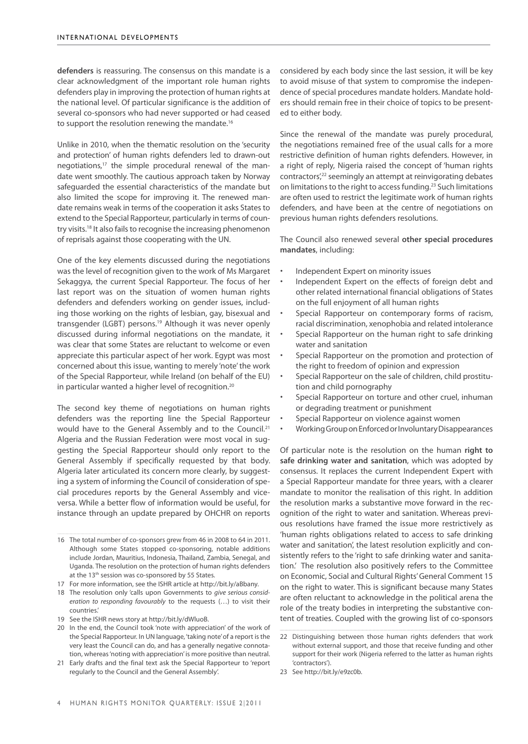**defenders** is reassuring. The consensus on this mandate is a clear acknowledgment of the important role human rights defenders play in improving the protection of human rights at the national level. Of particular significance is the addition of several co-sponsors who had never supported or had ceased to support the resolution renewing the mandate.<sup>16</sup>

Unlike in 2010, when the thematic resolution on the 'security and protection' of human rights defenders led to drawn-out negotiations, $17$  the simple procedural renewal of the mandate went smoothly. The cautious approach taken by Norway safeguarded the essential characteristics of the mandate but also limited the scope for improving it. The renewed mandate remains weak in terms of the cooperation it asks States to extend to the Special Rapporteur, particularly in terms of country visits.18 It also fails to recognise the increasing phenomenon of reprisals against those cooperating with the UN.

One of the key elements discussed during the negotiations was the level of recognition given to the work of Ms Margaret Sekaggya, the current Special Rapporteur. The focus of her last report was on the situation of women human rights defenders and defenders working on gender issues, including those working on the rights of lesbian, gay, bisexual and transgender (LGBT) persons.<sup>19</sup> Although it was never openly discussed during informal negotiations on the mandate, it was clear that some States are reluctant to welcome or even appreciate this particular aspect of her work. Egypt was most concerned about this issue, wanting to merely 'note' the work of the Special Rapporteur, while Ireland (on behalf of the EU) in particular wanted a higher level of recognition.<sup>20</sup>

The second key theme of negotiations on human rights defenders was the reporting line the Special Rapporteur would have to the General Assembly and to the Council.<sup>21</sup> Algeria and the Russian Federation were most vocal in suggesting the Special Rapporteur should only report to the General Assembly if specifically requested by that body. Algeria later articulated its concern more clearly, by suggesting a system of informing the Council of consideration of special procedures reports by the General Assembly and viceversa. While a better flow of information would be useful, for instance through an update prepared by OHCHR on reports

considered by each body since the last session, it will be key to avoid misuse of that system to compromise the independence of special procedures mandate holders. Mandate holders should remain free in their choice of topics to be presented to either body.

Since the renewal of the mandate was purely procedural, the negotiations remained free of the usual calls for a more restrictive definition of human rights defenders. However, in a right of reply, Nigeria raised the concept of 'human rights contractors<sup>',22</sup> seemingly an attempt at reinvigorating debates on limitations to the right to access funding.23 Such limitations are often used to restrict the legitimate work of human rights defenders, and have been at the centre of negotiations on previous human rights defenders resolutions.

The Council also renewed several **other special procedures mandates**, including:

- Independent Expert on minority issues
- Independent Expert on the effects of foreign debt and other related international financial obligations of States on the full enjoyment of all human rights
- Special Rapporteur on contemporary forms of racism, racial discrimination, xenophobia and related intolerance
- Special Rapporteur on the human right to safe drinking water and sanitation
- Special Rapporteur on the promotion and protection of the right to freedom of opinion and expression
- Special Rapporteur on the sale of children, child prostitution and child pornography
- Special Rapporteur on torture and other cruel, inhuman or degrading treatment or punishment
- Special Rapporteur on violence against women
- Working Group on Enforced or Involuntary Disappearances

Of particular note is the resolution on the human **right to safe drinking water and sanitation**, which was adopted by consensus. It replaces the current Independent Expert with a Special Rapporteur mandate for three years, with a clearer mandate to monitor the realisation of this right. In addition the resolution marks a substantive move forward in the recognition of the right to water and sanitation. Whereas previous resolutions have framed the issue more restrictively as 'human rights obligations related to access to safe drinking water and sanitation', the latest resolution explicitly and consistently refers to the 'right to safe drinking water and sanitation.' The resolution also positively refers to the Committee on Economic, Social and Cultural Rights' General Comment 15 on the right to water. This is significant because many States are often reluctant to acknowledge in the political arena the role of the treaty bodies in interpreting the substantive content of treaties. Coupled with the growing list of co-sponsors

23 See [http://bit.ly/e9zc0b.](http://bit.ly/e9zc0b)

<sup>16</sup> The total number of co-sponsors grew from 46 in 2008 to 64 in 2011. Although some States stopped co-sponsoring, notable additions include Jordan, Mauritius, Indonesia, Thailand, Zambia, Senegal, and Uganda. The resolution on the protection of human rights defenders at the 13<sup>th</sup> session was co-sponsored by 55 States.

<sup>17</sup> For more information, see the ISHR article at http://bit.ly/aBbany.

<sup>18</sup> The resolution only 'calls upon Governments to *give serious consideration to responding favourably* to the requests (…) to visit their countries.'

<sup>19</sup> See the ISHR news story at <http://bit.ly/dWluoB>.

<sup>20</sup> In the end, the Council took 'note with appreciation' of the work of the Special Rapporteur. In UN language, 'taking note' of a report is the very least the Council can do, and has a generally negative connotation, whereas 'noting with appreciation' is more positive than neutral.

<sup>21</sup> Early drafts and the final text ask the Special Rapporteur to 'report regularly to the Council and the General Assembly'.

<sup>22</sup> Distinguishing between those human rights defenders that work without external support, and those that receive funding and other support for their work (Nigeria referred to the latter as human rights 'contractors').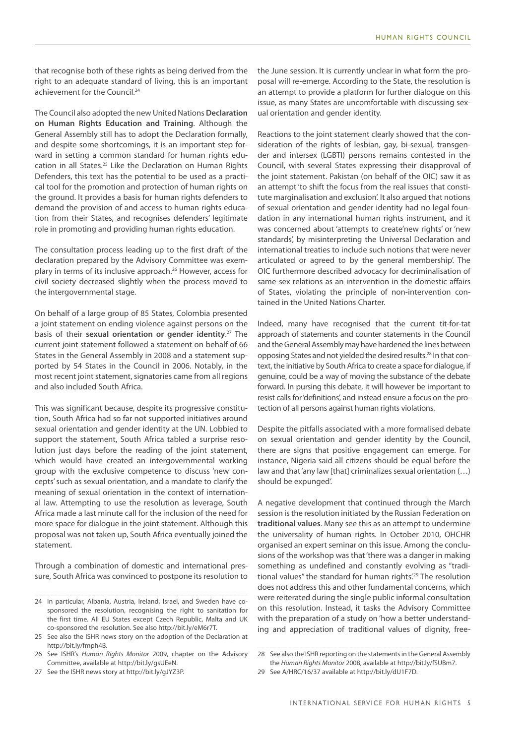that recognise both of these rights as being derived from the right to an adequate standard of living, this is an important achievement for the Council.<sup>24</sup>

The Council also adopted the new United Nations **Declaration on Human Rights Education and Training**. Although the General Assembly still has to adopt the Declaration formally, and despite some shortcomings, it is an important step forward in setting a common standard for human rights education in all States.<sup>25</sup> Like the Declaration on Human Rights Defenders, this text has the potential to be used as a practical tool for the promotion and protection of human rights on the ground. It provides a basis for human rights defenders to demand the provision of and access to human rights education from their States, and recognises defenders' legitimate role in promoting and providing human rights education.

The consultation process leading up to the first draft of the declaration prepared by the Advisory Committee was exemplary in terms of its inclusive approach.26 However, access for civil society decreased slightly when the process moved to the intergovernmental stage.

On behalf of a large group of 85 States, Colombia presented a joint statement on ending violence against persons on the basis of their **sexual orientation or gender identity**. 27 The current joint statement followed a statement on behalf of 66 States in the General Assembly in 2008 and a statement supported by 54 States in the Council in 2006. Notably, in the most recent joint statement, signatories came from all regions and also included South Africa.

This was significant because, despite its progressive constitution, South Africa had so far not supported initiatives around sexual orientation and gender identity at the UN. Lobbied to support the statement, South Africa tabled a surprise resolution just days before the reading of the joint statement, which would have created an intergovernmental working group with the exclusive competence to discuss 'new concepts' such as sexual orientation, and a mandate to clarify the meaning of sexual orientation in the context of international law. Attempting to use the resolution as leverage, South Africa made a last minute call for the inclusion of the need for more space for dialogue in the joint statement. Although this proposal was not taken up, South Africa eventually joined the statement.

Through a combination of domestic and international pressure, South Africa was convinced to postpone its resolution to the June session. It is currently unclear in what form the proposal will re-emerge. According to the State, the resolution is an attempt to provide a platform for further dialogue on this issue, as many States are uncomfortable with discussing sexual orientation and gender identity.

Reactions to the joint statement clearly showed that the consideration of the rights of lesbian, gay, bi-sexual, transgender and intersex (LGBTI) persons remains contested in the Council, with several States expressing their disapproval of the joint statement. Pakistan (on behalf of the OIC) saw it as an attempt 'to shift the focus from the real issues that constitute marginalisation and exclusion'. It also argued that notions of sexual orientation and gender identity had no legal foundation in any international human rights instrument, and it was concerned about 'attempts to create'new rights' or 'new standards', by misinterpreting the Universal Declaration and international treaties to include such notions that were never articulated or agreed to by the general membership'. The OIC furthermore described advocacy for decriminalisation of same-sex relations as an intervention in the domestic affairs of States, violating the principle of non-intervention contained in the United Nations Charter.

Indeed, many have recognised that the current tit-for-tat approach of statements and counter statements in the Council and the General Assembly may have hardened the lines between opposing States and not yielded the desired results.28 In that context, the initiative by South Africa to create a space for dialogue, if genuine, could be a way of moving the substance of the debate forward. In pursing this debate, it will however be important to resist calls for 'definitions', and instead ensure a focus on the protection of all persons against human rights violations.

Despite the pitfalls associated with a more formalised debate on sexual orientation and gender identity by the Council, there are signs that positive engagement can emerge. For instance, Nigeria said all citizens should be equal before the law and that 'any law [that] criminalizes sexual orientation (…) should be expunged'.

A negative development that continued through the March session is the resolution initiated by the Russian Federation on **traditional values**. Many see this as an attempt to undermine the universality of human rights. In October 2010, OHCHR organised an expert seminar on this issue. Among the conclusions of the workshop was that 'there was a danger in making something as undefined and constantly evolving as "traditional values" the standard for human rights<sup>'29</sup> The resolution does not address this and other fundamental concerns, which were reiterated during the single public informal consultation on this resolution. Instead, it tasks the Advisory Committee with the preparation of a study on 'how a better understanding and appreciation of traditional values of dignity, free-

<sup>24</sup> In particular, Albania, Austria, Ireland, Israel, and Sweden have cosponsored the resolution, recognising the right to sanitation for the first time. All EU States except Czech Republic, Malta and UK co-sponsored the resolution. See also [http://bit.ly/eM6r7T.](http://bit.ly/eM6r7T)

<sup>25</sup> See also the ISHR news story on the adoption of the Declaration at [http://bit.ly/fmph4B.](http://bit.ly/fmph4B)

<sup>26</sup> See ISHR's *Human Rights Monitor* 2009, chapter on the Advisory Committee, available at [http://bit.ly/gsUEeN.](http://bit.ly/gsUEeN)

<sup>27</sup> See the ISHR news story at [http://bit.ly/gJYZ3P.](http://bit.ly/gJYZ3P)

<sup>28</sup> See also the ISHR reporting on the statements in the General Assembly the *Human Rights Monitor* 2008, available at <http://bit.ly/fSUBm7>.

<sup>29</sup> See A/HRC/16/37 available at [http://bit.ly/dU1F7D.](http://bit.ly/dU1F7D)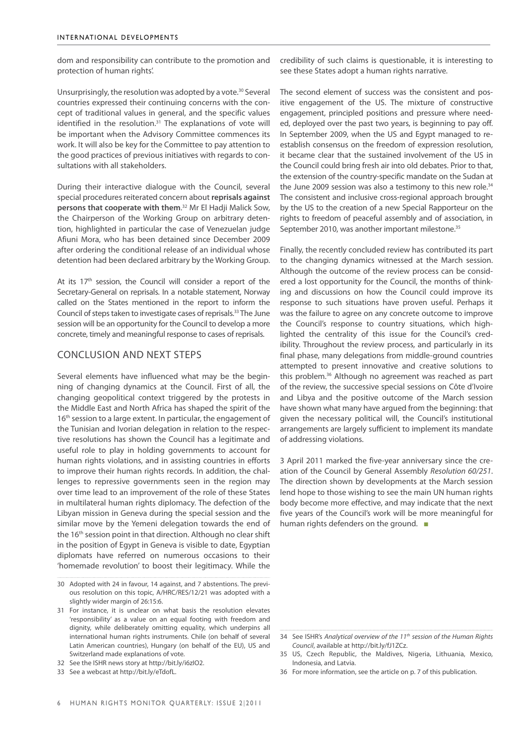dom and responsibility can contribute to the promotion and protection of human rights'.

Unsurprisingly, the resolution was adopted by a vote.<sup>30</sup> Several countries expressed their continuing concerns with the concept of traditional values in general, and the specific values identified in the resolution.<sup>31</sup> The explanations of vote will be important when the Advisory Committee commences its work. It will also be key for the Committee to pay attention to the good practices of previous initiatives with regards to consultations with all stakeholders.

During their interactive dialogue with the Council, several special procedures reiterated concern about **reprisals against persons that cooperate with them**. 32 Mr El Hadji Malick Sow, the Chairperson of the Working Group on arbitrary detention, highlighted in particular the case of Venezuelan judge Afiuni Mora, who has been detained since December 2009 after ordering the conditional release of an individual whose detention had been declared arbitrary by the Working Group.

At its 17<sup>th</sup> session, the Council will consider a report of the Secretary-General on reprisals. In a notable statement, Norway called on the States mentioned in the report to inform the Council of steps taken to investigate cases of reprisals.33 The June session will be an opportunity for the Council to develop a more concrete, timely and meaningful response to cases of reprisals.

#### Conclusion and next steps

Several elements have influenced what may be the beginning of changing dynamics at the Council. First of all, the changing geopolitical context triggered by the protests in the Middle East and North Africa has shaped the spirit of the 16<sup>th</sup> session to a large extent. In particular, the engagement of the Tunisian and Ivorian delegation in relation to the respective resolutions has shown the Council has a legitimate and useful role to play in holding governments to account for human rights violations, and in assisting countries in efforts to improve their human rights records. In addition, the challenges to repressive governments seen in the region may over time lead to an improvement of the role of these States in multilateral human rights diplomacy. The defection of the Libyan mission in Geneva during the special session and the similar move by the Yemeni delegation towards the end of the 16<sup>th</sup> session point in that direction. Although no clear shift in the position of Egypt in Geneva is visible to date, Egyptian diplomats have referred on numerous occasions to their 'homemade revolution' to boost their legitimacy. While the

HUMAN RIGHTS MONITOR QUARTERLY: ISSUE 2|2011

credibility of such claims is questionable, it is interesting to see these States adopt a human rights narrative.

The second element of success was the consistent and positive engagement of the US. The mixture of constructive engagement, principled positions and pressure where needed, deployed over the past two years, is beginning to pay off. In September 2009, when the US and Egypt managed to reestablish consensus on the freedom of expression resolution, it became clear that the sustained involvement of the US in the Council could bring fresh air into old debates. Prior to that, the extension of the country-specific mandate on the Sudan at the June 2009 session was also a testimony to this new role.<sup>34</sup> The consistent and inclusive cross-regional approach brought by the US to the creation of a new Special Rapporteur on the rights to freedom of peaceful assembly and of association, in September 2010, was another important milestone.<sup>35</sup>

Finally, the recently concluded review has contributed its part to the changing dynamics witnessed at the March session. Although the outcome of the review process can be considered a lost opportunity for the Council, the months of thinking and discussions on how the Council could improve its response to such situations have proven useful. Perhaps it was the failure to agree on any concrete outcome to improve the Council's response to country situations, which highlighted the centrality of this issue for the Council's credibility. Throughout the review process, and particularly in its final phase, many delegations from middle-ground countries attempted to present innovative and creative solutions to this problem.36 Although no agreement was reached as part of the review, the successive special sessions on Côte d'Ivoire and Libya and the positive outcome of the March session have shown what many have argued from the beginning: that given the necessary political will, the Council's institutional arrangements are largely sufficient to implement its mandate of addressing violations.

3 April 2011 marked the five-year anniversary since the creation of the Council by General Assembly *Resolution 60/251*. The direction shown by developments at the March session lend hope to those wishing to see the main UN human rights body become more effective, and may indicate that the next five years of the Council's work will be more meaningful for human rights defenders on the ground. ■

36 For more information, see the article on p. 7 of this publication.

<sup>30</sup> Adopted with 24 in favour, 14 against, and 7 abstentions. The previous resolution on this topic, A/HRC/RES/12/21 was adopted with a slightly wider margin of 26:15:6.

<sup>31</sup> For instance, it is unclear on what basis the resolution elevates 'responsibility' as a value on an equal footing with freedom and dignity, while deliberately omitting equality, which underpins all international human rights instruments. Chile (on behalf of several Latin American countries), Hungary (on behalf of the EU), US and Switzerland made explanations of vote.

<sup>32</sup> See the ISHR news story at [http://bit.ly/i6zIO2.](http://bit.ly/i6zIO2)

<sup>33</sup> See a webcast at <http://bit.ly/eTdofL>.

<sup>34</sup> See ISHR's *Analytical overview of the 11th session of the Human Rights Council*, available at [http://bit.ly/fJ1ZCz.](http://bit.ly/fJ1ZCz)

<sup>35</sup> US, Czech Republic, the Maldives, Nigeria, Lithuania, Mexico, Indonesia, and Latvia.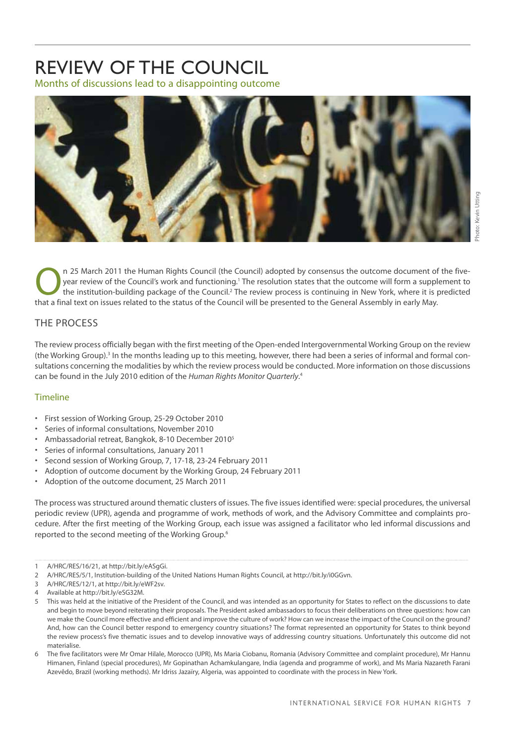### <span id="page-10-0"></span>REVIEW OF THE COUNCIL Months of discussions lead to a disappointing outcome



n 25 March 2011 the Human Rights Council (the Council) adopted by consensus the outcome document of the five-<br>year review of the Council's work and functioning.<sup>1</sup> The resolution states that the outcome will form a supplem year review of the Council's work and functioning.' The resolution states that the outcome will form a supplement to that a final text on issues related to the status of the Council will be presented to the General Assembly in early May.

#### THE PROCESS

The review process officially began with the first meeting of the Open-ended Intergovernmental Working Group on the review (the Working Group).<sup>3</sup> In the months leading up to this meeting, however, there had been a series of informal and formal consultations concerning the modalities by which the review process would be conducted. More information on those discussions can be found in the July 2010 edition of the *Human Rights Monitor Quarterly*. 4

#### Timeline

- • First session of Working Group, 25-29 October 2010
- Series of informal consultations, November 2010
- Ambassadorial retreat, Bangkok, 8-10 December 2010<sup>5</sup>
- Series of informal consultations, January 2011
- Second session of Working Group, 7, 17-18, 23-24 February 2011
- Adoption of outcome document by the Working Group, 24 February 2011
- Adoption of the outcome document, 25 March 2011

The process was structured around thematic clusters of issues. The five issues identified were: special procedures, the universal periodic review (UPR), agenda and programme of work, methods of work, and the Advisory Committee and complaints procedure. After the first meeting of the Working Group, each issue was assigned a facilitator who led informal discussions and reported to the second meeting of the Working Group.<sup>6</sup>

<sup>1</sup> A/HRC/RES/16/21, at http://bit.ly/eASgGi.

<sup>2</sup> A/HRC/RES/5/1, Institution-building of the United Nations Human Rights Council, at http://bit.ly/i0GGvn.

<sup>3</sup> A/HRC/RES/12/1, at http://bit.ly/eWF2sv.

<sup>4</sup> Available at http://bit.ly/eSG32M.

<sup>5</sup> This was held at the initiative of the President of the Council, and was intended as an opportunity for States to reflect on the discussions to date and begin to move beyond reiterating their proposals. The President asked ambassadors to focus their deliberations on three questions: how can we make the Council more effective and efficient and improve the culture of work? How can we increase the impact of the Council on the ground? And, how can the Council better respond to emergency country situations? The format represented an opportunity for States to think beyond the review process's five thematic issues and to develop innovative ways of addressing country situations. Unfortunately this outcome did not materialise.

<sup>6</sup> The five facilitators were Mr Omar Hilale, Morocco (UPR), Ms Maria Ciobanu, Romania (Advisory Committee and complaint procedure), Mr Hannu Himanen, Finland (special procedures), Mr Gopinathan Achamkulangare, India (agenda and programme of work), and Ms Maria Nazareth Farani Azevêdo, Brazil (working methods). Mr Idriss Jazaïry, Algeria, was appointed to coordinate with the process in New York.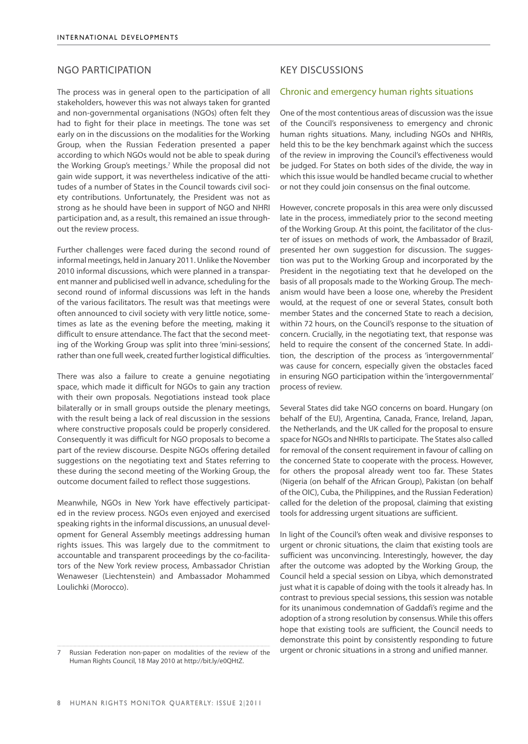#### NGO PARTICIPATION

The process was in general open to the participation of all stakeholders, however this was not always taken for granted and non-governmental organisations (NGOs) often felt they had to fight for their place in meetings. The tone was set early on in the discussions on the modalities for the Working Group, when the Russian Federation presented a paper according to which NGOs would not be able to speak during the Working Group's meetings.7 While the proposal did not gain wide support, it was nevertheless indicative of the attitudes of a number of States in the Council towards civil society contributions. Unfortunately, the President was not as strong as he should have been in support of NGO and NHRI participation and, as a result, this remained an issue throughout the review process.

Further challenges were faced during the second round of informal meetings, held in January 2011. Unlike the November 2010 informal discussions, which were planned in a transparent manner and publicised well in advance, scheduling for the second round of informal discussions was left in the hands of the various facilitators. The result was that meetings were often announced to civil society with very little notice, sometimes as late as the evening before the meeting, making it difficult to ensure attendance. The fact that the second meeting of the Working Group was split into three 'mini-sessions', rather than one full week, created further logistical difficulties.

There was also a failure to create a genuine negotiating space, which made it difficult for NGOs to gain any traction with their own proposals. Negotiations instead took place bilaterally or in small groups outside the plenary meetings, with the result being a lack of real discussion in the sessions where constructive proposals could be properly considered. Consequently it was difficult for NGO proposals to become a part of the review discourse. Despite NGOs offering detailed suggestions on the negotiating text and States referring to these during the second meeting of the Working Group, the outcome document failed to reflect those suggestions.

Meanwhile, NGOs in New York have effectively participated in the review process. NGOs even enjoyed and exercised speaking rights in the informal discussions, an unusual development for General Assembly meetings addressing human rights issues. This was largely due to the commitment to accountable and transparent proceedings by the co-facilitators of the New York review process, Ambassador Christian Wenaweser (Liechtenstein) and Ambassador Mohammed Loulichki (Morocco).

#### KEY DISCUSSIONS

#### Chronic and emergency human rights situations

One of the most contentious areas of discussion was the issue of the Council's responsiveness to emergency and chronic human rights situations. Many, including NGOs and NHRIs, held this to be the key benchmark against which the success of the review in improving the Council's effectiveness would be judged. For States on both sides of the divide, the way in which this issue would be handled became crucial to whether or not they could join consensus on the final outcome.

However, concrete proposals in this area were only discussed late in the process, immediately prior to the second meeting of the Working Group. At this point, the facilitator of the cluster of issues on methods of work, the Ambassador of Brazil, presented her own suggestion for discussion. The suggestion was put to the Working Group and incorporated by the President in the negotiating text that he developed on the basis of all proposals made to the Working Group. The mechanism would have been a loose one, whereby the President would, at the request of one or several States, consult both member States and the concerned State to reach a decision, within 72 hours, on the Council's response to the situation of concern. Crucially, in the negotiating text, that response was held to require the consent of the concerned State. In addition, the description of the process as 'intergovernmental' was cause for concern, especially given the obstacles faced in ensuring NGO participation within the 'intergovernmental' process of review.

Several States did take NGO concerns on board. Hungary (on behalf of the EU), Argentina, Canada, France, Ireland, Japan, the Netherlands, and the UK called for the proposal to ensure space for NGOs and NHRIs to participate. The States also called for removal of the consent requirement in favour of calling on the concerned State to cooperate with the process. However, for others the proposal already went too far. These States (Nigeria (on behalf of the African Group), Pakistan (on behalf of the OIC), Cuba, the Philippines, and the Russian Federation) called for the deletion of the proposal, claiming that existing tools for addressing urgent situations are sufficient.

In light of the Council's often weak and divisive responses to urgent or chronic situations, the claim that existing tools are sufficient was unconvincing. Interestingly, however, the day after the outcome was adopted by the Working Group, the Council held a special session on Libya, which demonstrated just what it is capable of doing with the tools it already has. In contrast to previous special sessions, this session was notable for its unanimous condemnation of Gaddafi's regime and the adoption of a strong resolution by consensus. While this offers hope that existing tools are sufficient, the Council needs to demonstrate this point by consistently responding to future urgent or chronic situations in a strong and unified manner.

Russian Federation non-paper on modalities of the review of the Human Rights Council, 18 May 2010 at http://bit.ly/e0QHtZ.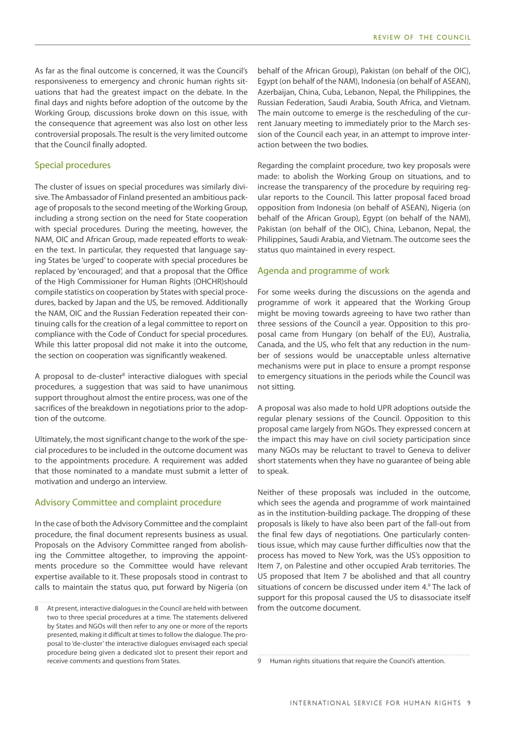As far as the final outcome is concerned, it was the Council's responsiveness to emergency and chronic human rights situations that had the greatest impact on the debate. In the final days and nights before adoption of the outcome by the Working Group, discussions broke down on this issue, with the consequence that agreement was also lost on other less controversial proposals. The result is the very limited outcome that the Council finally adopted.

#### Special procedures

The cluster of issues on special procedures was similarly divisive. The Ambassador of Finland presented an ambitious package of proposals to the second meeting of the Working Group, including a strong section on the need for State cooperation with special procedures. During the meeting, however, the NAM, OIC and African Group, made repeated efforts to weaken the text. In particular, they requested that language saying States be 'urged' to cooperate with special procedures be replaced by 'encouraged', and that a proposal that the Office of the High Commissioner for Human Rights (OHCHR)should compile statistics on cooperation by States with special procedures, backed by Japan and the US, be removed. Additionally the NAM, OIC and the Russian Federation repeated their continuing calls for the creation of a legal committee to report on compliance with the Code of Conduct for special procedures. While this latter proposal did not make it into the outcome, the section on cooperation was significantly weakened.

A proposal to de-cluster<sup>8</sup> interactive dialogues with special procedures, a suggestion that was said to have unanimous support throughout almost the entire process, was one of the sacrifices of the breakdown in negotiations prior to the adoption of the outcome.

Ultimately, the most significant change to the work of the special procedures to be included in the outcome document was to the appointments procedure. A requirement was added that those nominated to a mandate must submit a letter of motivation and undergo an interview.

#### Advisory Committee and complaint procedure

In the case of both the Advisory Committee and the complaint procedure, the final document represents business as usual. Proposals on the Advisory Committee ranged from abolishing the Committee altogether, to improving the appointments procedure so the Committee would have relevant expertise available to it. These proposals stood in contrast to calls to maintain the status quo, put forward by Nigeria (on

behalf of the African Group), Pakistan (on behalf of the OIC), Egypt (on behalf of the NAM), Indonesia (on behalf of ASEAN), Azerbaijan, China, Cuba, Lebanon, Nepal, the Philippines, the Russian Federation, Saudi Arabia, South Africa, and Vietnam. The main outcome to emerge is the rescheduling of the current January meeting to immediately prior to the March session of the Council each year, in an attempt to improve interaction between the two bodies.

Regarding the complaint procedure, two key proposals were made: to abolish the Working Group on situations, and to increase the transparency of the procedure by requiring regular reports to the Council. This latter proposal faced broad opposition from Indonesia (on behalf of ASEAN), Nigeria (on behalf of the African Group), Egypt (on behalf of the NAM), Pakistan (on behalf of the OIC), China, Lebanon, Nepal, the Philippines, Saudi Arabia, and Vietnam. The outcome sees the status quo maintained in every respect.

#### Agenda and programme of work

For some weeks during the discussions on the agenda and programme of work it appeared that the Working Group might be moving towards agreeing to have two rather than three sessions of the Council a year. Opposition to this proposal came from Hungary (on behalf of the EU), Australia, Canada, and the US, who felt that any reduction in the number of sessions would be unacceptable unless alternative mechanisms were put in place to ensure a prompt response to emergency situations in the periods while the Council was not sitting.

A proposal was also made to hold UPR adoptions outside the regular plenary sessions of the Council. Opposition to this proposal came largely from NGOs. They expressed concern at the impact this may have on civil society participation since many NGOs may be reluctant to travel to Geneva to deliver short statements when they have no guarantee of being able to speak.

Neither of these proposals was included in the outcome, which sees the agenda and programme of work maintained as in the institution-building package. The dropping of these proposals is likely to have also been part of the fall-out from the final few days of negotiations. One particularly contentious issue, which may cause further difficulties now that the process has moved to New York, was the US's opposition to Item 7, on Palestine and other occupied Arab territories. The US proposed that Item 7 be abolished and that all country situations of concern be discussed under item 4.<sup>9</sup> The lack of support for this proposal caused the US to disassociate itself from the outcome document.

<sup>8</sup> At present, interactive dialogues in the Council are held with between two to three special procedures at a time. The statements delivered by States and NGOs will then refer to any one or more of the reports presented, making it difficult at times to follow the dialogue. The proposal to 'de-cluster' the interactive dialogues envisaged each special procedure being given a dedicated slot to present their report and receive comments and questions from States.

<sup>9</sup> Human rights situations that require the Council's attention.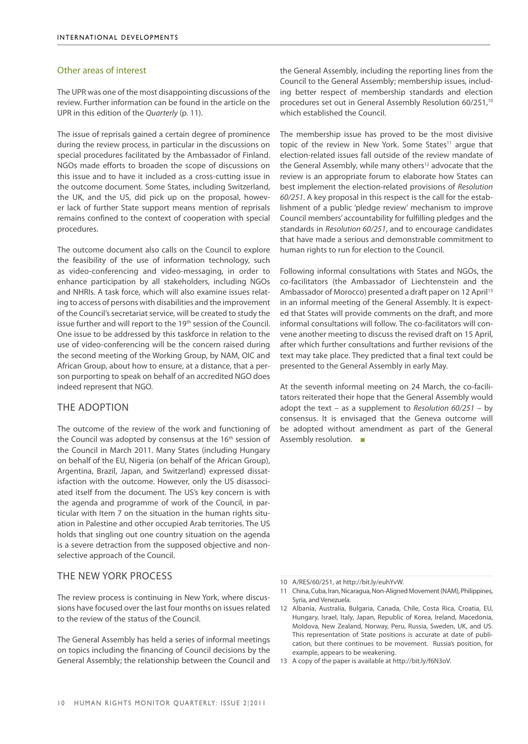#### Other areas of interest

The UPR was one of the most disappointing discussions of the review. Further information can be found in the article on the UPR in this edition of the *Quarterly* [\(p. 11](#page-14-0)).

The issue of reprisals gained a certain degree of prominence during the review process, in particular in the discussions on special procedures facilitated by the Ambassador of Finland. NGOs made efforts to broaden the scope of discussions on this issue and to have it included as a cross-cutting issue in the outcome document. Some States, including Switzerland, the UK, and the US, did pick up on the proposal, however lack of further State support means mention of reprisals remains confined to the context of cooperation with special procedures.

The outcome document also calls on the Council to explore the feasibility of the use of information technology, such as video-conferencing and video-messaging, in order to enhance participation by all stakeholders, including NGOs and NHRIs. A task force, which will also examine issues relating to access of persons with disabilities and the improvement of the Council's secretariat service, will be created to study the issue further and will report to the 19<sup>th</sup> session of the Council. One issue to be addressed by this taskforce in relation to the use of video-conferencing will be the concern raised during the second meeting of the Working Group, by NAM, OIC and African Group, about how to ensure, at a distance, that a person purporting to speak on behalf of an accredited NGO does indeed represent that NGO.

#### THE ADOPTION

The outcome of the review of the work and functioning of the Council was adopted by consensus at the 16<sup>th</sup> session of the Council in March 2011. Many States (including Hungary on behalf of the EU, Nigeria (on behalf of the African Group), Argentina, Brazil, Japan, and Switzerland) expressed dissatisfaction with the outcome. However, only the US disassociated itself from the document. The US's key concern is with the agenda and programme of work of the Council, in particular with Item 7 on the situation in the human rights situation in Palestine and other occupied Arab territories. The US holds that singling out one country situation on the agenda is a severe detraction from the supposed objective and nonselective approach of the Council.

#### THE NEW YORK PROCESS

The review process is continuing in New York, where discussions have focused over the last four months on issues related to the review of the status of the Council.

The General Assembly has held a series of informal meetings on topics including the financing of Council decisions by the General Assembly; the relationship between the Council and the General Assembly, including the reporting lines from the Council to the General Assembly; membership issues, including better respect of membership standards and election procedures set out in General Assembly Resolution 60/251,<sup>10</sup> which established the Council.

The membership issue has proved to be the most divisive topic of the review in New York. Some States<sup>11</sup> argue that election-related issues fall outside of the review mandate of the General Assembly, while many others<sup>12</sup> advocate that the review is an appropriate forum to elaborate how States can best implement the election-related provisions of *Resolution 60/251*. A key proposal in this respect is the call for the establishment of a public 'pledge review' mechanism to improve Council members' accountability for fulfilling pledges and the standards in *Resolution 60/251*, and to encourage candidates that have made a serious and demonstrable commitment to human rights to run for election to the Council.

Following informal consultations with States and NGOs, the co-facilitators (the Ambassador of Liechtenstein and the Ambassador of Morocco) presented a draft paper on 12 April<sup>13</sup> in an informal meeting of the General Assembly. It is expected that States will provide comments on the draft, and more informal consultations will follow. The co-facilitators will convene another meeting to discuss the revised draft on 15 April, after which further consultations and further revisions of the text may take place. They predicted that a final text could be presented to the General Assembly in early May.

At the seventh informal meeting on 24 March, the co-facilitators reiterated their hope that the General Assembly would adopt the text – as a supplement to *Resolution 60/251* – by consensus. It is envisaged that the Geneva outcome will be adopted without amendment as part of the General Assembly resolution. ■

<sup>10</sup> A/RES/60/251, at http://bit.ly/euhYvW.

<sup>11</sup> China, Cuba, Iran, Nicaragua, Non-Aligned Movement (NAM), Philippines, Syria, and Venezuela.

<sup>12</sup> Albania, Australia, Bulgaria, Canada, Chile, Costa Rica, Croatia, EU, Hungary, Israel, Italy, Japan, Republic of Korea, Ireland, Macedonia, Moldova, New Zealand, Norway, Peru, Russia, Sweden, UK, and US. This representation of State positions is accurate at date of publication, but there continues to be movement. Russia's position, for example, appears to be weakening.

<sup>13</sup> A copy of the paper is available at http://bit.ly/f6N3oV.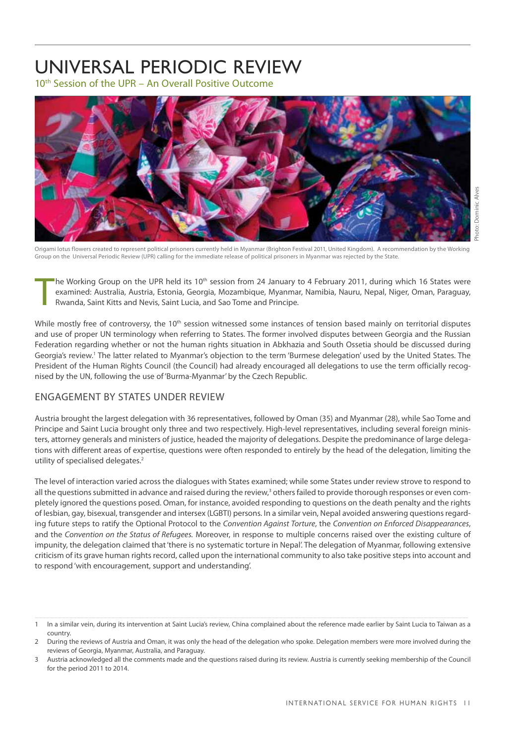## <span id="page-14-0"></span>Universal Periodic Review

10th Session of the UPR – An Overall Positive Outcome



Origami lotus flowers created to represent political prisoners currently held in Myanmar (Brighton Festival 2011, United Kingdom). A recommendation by the Working Group on the Universal Periodic Review (UPR) calling for the immediate release of political prisoners in Myanmar was rejected by the State.

T the Working Group on the UPR held its 10<sup>th</sup> session from 24 January to 4 February 2011, during which 16 States were examined: Australia, Austria, Estonia, Georgia, Mozambique, Myanmar, Namibia, Nauru, Nepal, Niger, Oman, Paraguay, Rwanda, Saint Kitts and Nevis, Saint Lucia, and Sao Tome and Principe.

While mostly free of controversy, the  $10<sup>th</sup>$  session witnessed some instances of tension based mainly on territorial disputes and use of proper UN terminology when referring to States. The former involved disputes between Georgia and the Russian Federation regarding whether or not the human rights situation in Abkhazia and South Ossetia should be discussed during Georgia's review.<sup>1</sup> The latter related to Myanmar's objection to the term 'Burmese delegation' used by the United States. The President of the Human Rights Council (the Council) had already encouraged all delegations to use the term officially recognised by the UN, following the use of 'Burma-Myanmar' by the Czech Republic.

#### ENGAGEMENT BY STATES UNDER REVIEW

Austria brought the largest delegation with 36 representatives, followed by Oman (35) and Myanmar (28), while Sao Tome and Principe and Saint Lucia brought only three and two respectively. High-level representatives, including several foreign ministers, attorney generals and ministers of justice, headed the majority of delegations. Despite the predominance of large delegations with different areas of expertise, questions were often responded to entirely by the head of the delegation, limiting the utility of specialised delegates.<sup>2</sup>

The level of interaction varied across the dialogues with States examined; while some States under review strove to respond to all the questions submitted in advance and raised during the review,<sup>3</sup> others failed to provide thorough responses or even completely ignored the questions posed. Oman, for instance, avoided responding to questions on the death penalty and the rights of lesbian, gay, bisexual, transgender and intersex (LGBTI) persons. In a similar vein, Nepal avoided answering questions regarding future steps to ratify the Optional Protocol to the *Convention Against Torture*, the *Convention on Enforced Disappearances*, and the *Convention on the Status of Refugees.* Moreover, in response to multiple concerns raised over the existing culture of impunity, the delegation claimed that 'there is no systematic torture in Nepal'. The delegation of Myanmar, following extensive criticism of its grave human rights record, called upon the international community to also take positive steps into account and to respond 'with encouragement, support and understanding'.

<sup>1</sup> In a similar vein, during its intervention at Saint Lucia's review, China complained about the reference made earlier by Saint Lucia to Taiwan as a country.

<sup>2</sup> During the reviews of Austria and Oman, it was only the head of the delegation who spoke. Delegation members were more involved during the reviews of Georgia, Myanmar, Australia, and Paraguay.

Austria acknowledged all the comments made and the questions raised during its review. Austria is currently seeking membership of the Council for the period 2011 to 2014.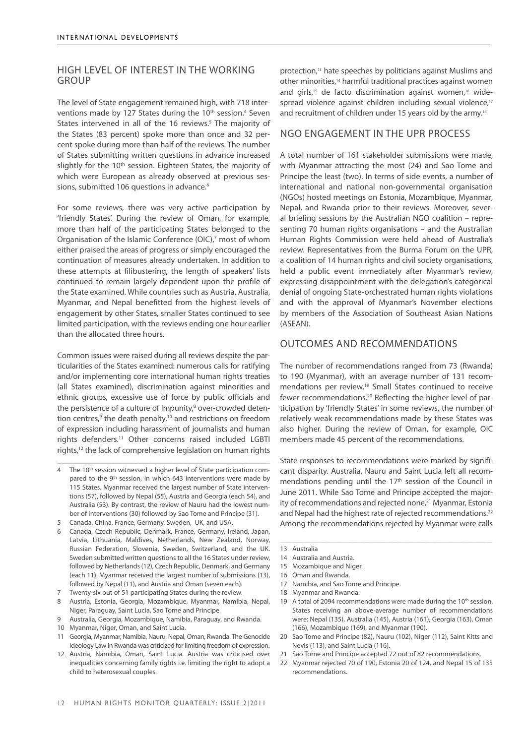#### HIGH LEVEL OF INTEREST IN THE WORKING **GROUP**

The level of State engagement remained high, with 718 interventions made by 127 States during the 10<sup>th</sup> session.<sup>4</sup> Seven States intervened in all of the 16 reviews.<sup>5</sup> The majority of the States (83 percent) spoke more than once and 32 percent spoke during more than half of the reviews. The number of States submitting written questions in advance increased slightly for the 10<sup>th</sup> session. Eighteen States, the majority of which were European as already observed at previous sessions, submitted 106 questions in advance.<sup>6</sup>

For some reviews, there was very active participation by 'friendly States'. During the review of Oman, for example, more than half of the participating States belonged to the Organisation of the Islamic Conference (OIC),<sup>7</sup> most of whom either praised the areas of progress or simply encouraged the continuation of measures already undertaken. In addition to these attempts at filibustering, the length of speakers' lists continued to remain largely dependent upon the profile of the State examined. While countries such as Austria, Australia, Myanmar, and Nepal benefitted from the highest levels of engagement by other States, smaller States continued to see limited participation, with the reviews ending one hour earlier than the allocated three hours.

Common issues were raised during all reviews despite the particularities of the States examined: numerous calls for ratifying and/or implementing core international human rights treaties (all States examined), discrimination against minorities and ethnic groups, excessive use of force by public officials and the persistence of a culture of impunity,<sup>8</sup> over-crowded detention centres,<sup>9</sup> the death penalty,<sup>10</sup> and restrictions on freedom of expression including harassment of journalists and human rights defenders.11 Other concerns raised included LGBTI rights,<sup>12</sup> the lack of comprehensive legislation on human rights

- 4 The 10<sup>th</sup> session witnessed a higher level of State participation compared to the 9<sup>th</sup> session, in which 643 interventions were made by 115 States. Myanmar received the largest number of State interventions (57), followed by Nepal (55), Austria and Georgia (each 54), and Australia (53). By contrast, the review of Nauru had the lowest number of interventions (30) followed by Sao Tome and Principe (31).
- 5 Canada, China, France, Germany, Sweden, UK, and USA.
- 6 Canada, Czech Republic, Denmark, France, Germany, Ireland, Japan, Latvia, Lithuania, Maldives, Netherlands, New Zealand, Norway, Russian Federation, Slovenia, Sweden, Switzerland, and the UK. Sweden submitted written questions to all the 16 States under review, followed by Netherlands (12), Czech Republic, Denmark, and Germany (each 11). Myanmar received the largest number of submissions (13), followed by Nepal (11), and Austria and Oman (seven each).
- 7 Twenty-six out of 51 participating States during the review.
- 8 Austria, Estonia, Georgia, Mozambique, Myanmar, Namibia, Nepal, Niger, Paraguay, Saint Lucia, Sao Tome and Principe.
- 9 Australia, Georgia, Mozambique, Namibia, Paraguay, and Rwanda.
- 10 Myanmar, Niger, Oman, and Saint Lucia.
- 11 Georgia, Myanmar, Namibia, Nauru, Nepal, Oman, Rwanda. The Genocide Ideology Law in Rwanda was criticized for limiting freedom of expression.
- 12 Austria, Namibia, Oman, Saint Lucia. Austria was criticised over inequalities concerning family rights i.e. limiting the right to adopt a child to heterosexual couples.

protection,<sup>13</sup> hate speeches by politicians against Muslims and other minorities,<sup>14</sup> harmful traditional practices against women and girls,<sup>15</sup> de facto discrimination against women,<sup>16</sup> widespread violence against children including sexual violence,<sup>17</sup> and recruitment of children under 15 years old by the army.<sup>18</sup>

#### NGO ENGAGEMENT IN THE UPR PROCESS

A total number of 161 stakeholder submissions were made, with Myanmar attracting the most (24) and Sao Tome and Principe the least (two). In terms of side events, a number of international and national non-governmental organisation (NGOs) hosted meetings on Estonia, Mozambique, Myanmar, Nepal, and Rwanda prior to their reviews. Moreover, several briefing sessions by the Australian NGO coalition – representing 70 human rights organisations – and the Australian Human Rights Commission were held ahead of Australia's review. Representatives from the Burma Forum on the UPR, a coalition of 14 human rights and civil society organisations, held a public event immediately after Myanmar's review, expressing disappointment with the delegation's categorical denial of ongoing State-orchestrated human rights violations and with the approval of Myanmar's November elections by members of the Association of Southeast Asian Nations (ASEAN).

#### OUTCOMES AND RECOMMENDATIONS

The number of recommendations ranged from 73 (Rwanda) to 190 (Myanmar), with an average number of 131 recommendations per review.19 Small States continued to receive fewer recommendations.20 Reflecting the higher level of participation by 'friendly States' in some reviews, the number of relatively weak recommendations made by these States was also higher. During the review of Oman, for example, OIC members made 45 percent of the recommendations.

State responses to recommendations were marked by significant disparity. Australia, Nauru and Saint Lucia left all recommendations pending until the 17<sup>th</sup> session of the Council in June 2011. While Sao Tome and Principe accepted the majority of recommendations and rejected none,<sup>21</sup> Myanmar, Estonia and Nepal had the highest rate of rejected recommendations.<sup>22</sup> Among the recommendations rejected by Myanmar were calls

- 14 Australia and Austria.
- 15 Mozambique and Niger.
- 16 Oman and Rwanda.
- 17 Namibia, and Sao Tome and Principe.
- 18 Myanmar and Rwanda.
- 19 A total of 2094 recommendations were made during the 10<sup>th</sup> session. States receiving an above-average number of recommendations were: Nepal (135), Australia (145), Austria (161), Georgia (163), Oman (166), Mozambique (169), and Myanmar (190).
- 20 Sao Tome and Principe (82), Nauru (102), Niger (112), Saint Kitts and Nevis (113), and Saint Lucia (116).
- 21 Sao Tome and Principe accepted 72 out of 82 recommendations.
- 22 Myanmar rejected 70 of 190, Estonia 20 of 124, and Nepal 15 of 135 recommendations.

<sup>13</sup> Australia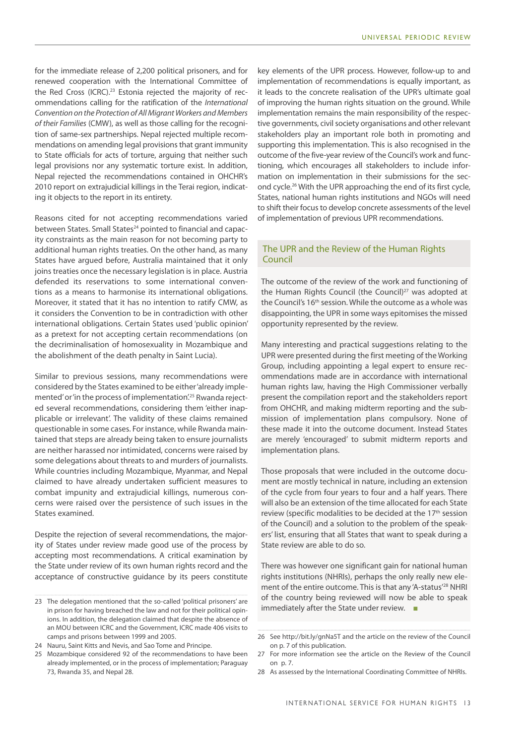for the immediate release of 2,200 political prisoners, and for renewed cooperation with the International Committee of the Red Cross (ICRC).<sup>23</sup> Estonia rejected the majority of recommendations calling for the ratification of the *International Convention on the Protection of All Migrant Workers and Members of their Families* (CMW), as well as those calling for the recognition of same-sex partnerships. Nepal rejected multiple recommendations on amending legal provisions that grant immunity to State officials for acts of torture, arguing that neither such legal provisions nor any systematic torture exist. In addition, Nepal rejected the recommendations contained in OHCHR's 2010 report on extrajudicial killings in the Terai region, indicating it objects to the report in its entirety.

Reasons cited for not accepting recommendations varied between States. Small States<sup>24</sup> pointed to financial and capacity constraints as the main reason for not becoming party to additional human rights treaties. On the other hand, as many States have argued before, Australia maintained that it only joins treaties once the necessary legislation is in place. Austria defended its reservations to some international conventions as a means to harmonise its international obligations. Moreover, it stated that it has no intention to ratify CMW, as it considers the Convention to be in contradiction with other international obligations. Certain States used 'public opinion' as a pretext for not accepting certain recommendations (on the decriminalisation of homosexuality in Mozambique and the abolishment of the death penalty in Saint Lucia).

Similar to previous sessions, many recommendations were considered by the States examined to be either 'already implemented' or 'in the process of implementation'.<sup>25</sup> Rwanda rejected several recommendations, considering them 'either inapplicable or irrelevant'. The validity of these claims remained questionable in some cases. For instance, while Rwanda maintained that steps are already being taken to ensure journalists are neither harassed nor intimidated, concerns were raised by some delegations about threats to and murders of journalists. While countries including Mozambique, Myanmar, and Nepal claimed to have already undertaken sufficient measures to combat impunity and extrajudicial killings, numerous concerns were raised over the persistence of such issues in the States examined.

Despite the rejection of several recommendations, the majority of States under review made good use of the process by accepting most recommendations. A critical examination by the State under review of its own human rights record and the acceptance of constructive guidance by its peers constitute

key elements of the UPR process. However, follow-up to and implementation of recommendations is equally important, as it leads to the concrete realisation of the UPR's ultimate goal of improving the human rights situation on the ground. While implementation remains the main responsibility of the respective governments, civil society organisations and other relevant stakeholders play an important role both in promoting and supporting this implementation. This is also recognised in the outcome of the five-year review of the Council's work and functioning, which encourages all stakeholders to include information on implementation in their submissions for the second cycle.26 With the UPR approaching the end of its first cycle, States, national human rights institutions and NGOs will need to shift their focus to develop concrete assessments of the level of implementation of previous UPR recommendations.

#### The UPR and the Review of the Human Rights Council

The outcome of the review of the work and functioning of the Human Rights Council (the Council)<sup>27</sup> was adopted at the Council's 16<sup>th</sup> session. While the outcome as a whole was disappointing, the UPR in some ways epitomises the missed opportunity represented by the review.

Many interesting and practical suggestions relating to the UPR were presented during the first meeting of the Working Group, including appointing a legal expert to ensure recommendations made are in accordance with international human rights law, having the High Commissioner verbally present the compilation report and the stakeholders report from OHCHR, and making midterm reporting and the submission of implementation plans compulsory. None of these made it into the outcome document. Instead States are merely 'encouraged' to submit midterm reports and implementation plans.

Those proposals that were included in the outcome document are mostly technical in nature, including an extension of the cycle from four years to four and a half years. There will also be an extension of the time allocated for each State review (specific modalities to be decided at the 17<sup>th</sup> session of the Council) and a solution to the problem of the speakers' list, ensuring that all States that want to speak during a State review are able to do so.

There was however one significant gain for national human rights institutions (NHRIs), perhaps the only really new element of the entire outcome. This is that any 'A-status'<sup>28</sup> NHRI of the country being reviewed will now be able to speak immediately after the State under review. ■

<sup>23</sup> The delegation mentioned that the so-called 'political prisoners' are in prison for having breached the law and not for their political opinions. In addition, the delegation claimed that despite the absence of an MOU between ICRC and the Government, ICRC made 406 visits to camps and prisons between 1999 and 2005.

<sup>24</sup> Nauru, Saint Kitts and Nevis, and Sao Tome and Principe.

<sup>25</sup> Mozambique considered 92 of the recommendations to have been already implemented, or in the process of implementation; Paraguay 73, Rwanda 35, and Nepal 28.

<sup>26</sup> See<http://bit.ly/gnNa5T> and the article on the review of the Council on [p. 7](#page-10-0) of this publication.

<sup>27</sup> For more information see the article on the Review of the Council on [p. 7](#page-10-0).

<sup>28</sup> As assessed by the International Coordinating Committee of NHRIs.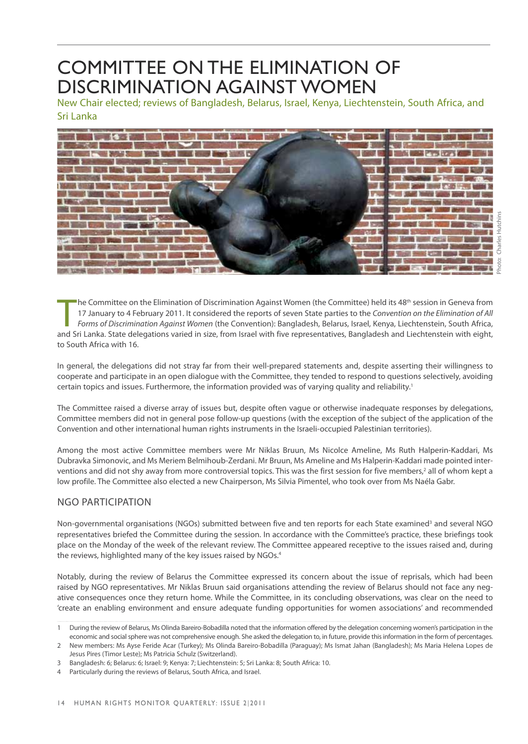### <span id="page-17-0"></span>Committee on the Elimination of Discrimination against Women

New Chair elected; reviews of Bangladesh, Belarus, Israel, Kenya, Liechtenstein, South Africa, and Sri Lanka



The Committee on the Elimination of Discrimination Against Women (the Committee) held its 48<sup>th</sup> session in Geneva from<br>17 January to 4 February 2011. It considered the reports of seven State parties to the Convention on t <sup>t</sup>he Committee on the Elimination of Discrimination Against Women (the Committee) held its 48<sup>th</sup> session in Geneva from 17 January to 4 February 2011. It considered the reports of seven State parties to the *Convention on the Elimination of All Forms of Discrimination Against Women* (the Convention): Bangladesh, Belarus, Israel, Kenya, Liechtenstein, South Africa, to South Africa with 16.

In general, the delegations did not stray far from their well-prepared statements and, despite asserting their willingness to cooperate and participate in an open dialogue with the Committee, they tended to respond to questions selectively, avoiding certain topics and issues. Furthermore, the information provided was of varying quality and reliability.1

The Committee raised a diverse array of issues but, despite often vague or otherwise inadequate responses by delegations, Committee members did not in general pose follow-up questions (with the exception of the subject of the application of the Convention and other international human rights instruments in the Israeli-occupied Palestinian territories).

Among the most active Committee members were Mr Niklas Bruun, Ms Nicolce Ameline, Ms Ruth Halperin-Kaddari, Ms Dubravka Simonovic, and Ms Meriem Belmihoub-Zerdani. Mr Bruun, Ms Ameline and Ms Halperin-Kaddari made pointed interventions and did not shy away from more controversial topics. This was the first session for five members,<sup>2</sup> all of whom kept a low profile. The Committee also elected a new Chairperson, Ms Silvia Pimentel, who took over from Ms Naéla Gabr.

#### NGO participation

Non-governmental organisations (NGOs) submitted between five and ten reports for each State examined<sup>3</sup> and several NGO representatives briefed the Committee during the session. In accordance with the Committee's practice, these briefings took place on the Monday of the week of the relevant review. The Committee appeared receptive to the issues raised and, during the reviews, highlighted many of the key issues raised by NGOs.<sup>4</sup>

Notably, during the review of Belarus the Committee expressed its concern about the issue of reprisals, which had been raised by NGO representatives. Mr Niklas Bruun said organisations attending the review of Belarus should not face any negative consequences once they return home. While the Committee, in its concluding observations, was clear on the need to 'create an enabling environment and ensure adequate funding opportunities for women associations' and recommended

<sup>1</sup> During the review of Belarus, Ms Olinda Bareiro-Bobadilla noted that the information offered by the delegation concerning women's participation in the economic and social sphere was not comprehensive enough. She asked the delegation to, in future, provide this information in the form of percentages.

<sup>2</sup> New members: Ms Ayse Feride Acar (Turkey); Ms Olinda Bareiro-Bobadilla (Paraguay); Ms Ismat Jahan (Bangladesh); Ms Maria Helena Lopes de Jesus Pires (Timor Leste); Ms Patricia Schulz (Switzerland).

<sup>3</sup> Bangladesh: 6; Belarus: 6; Israel: 9; Kenya: 7; Liechtenstein: 5; Sri Lanka: 8; South Africa: 10.

Particularly during the reviews of Belarus, South Africa, and Israel.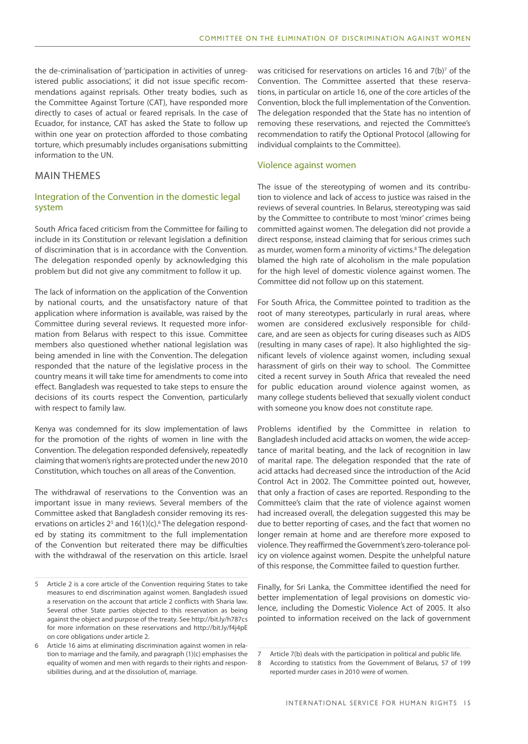the de-criminalisation of 'participation in activities of unregistered public associations', it did not issue specific recommendations against reprisals. Other treaty bodies, such as the Committee Against Torture (CAT), have responded more directly to cases of actual or feared reprisals. In the case of Ecuador, for instance, CAT has asked the State to follow up within one year on protection afforded to those combating torture, which presumably includes organisations submitting information to the UN.

#### MAIN THEMES

#### Integration of the Convention in the domestic legal system

South Africa faced criticism from the Committee for failing to include in its Constitution or relevant legislation a definition of discrimination that is in accordance with the Convention. The delegation responded openly by acknowledging this problem but did not give any commitment to follow it up.

The lack of information on the application of the Convention by national courts, and the unsatisfactory nature of that application where information is available, was raised by the Committee during several reviews. It requested more information from Belarus with respect to this issue. Committee members also questioned whether national legislation was being amended in line with the Convention. The delegation responded that the nature of the legislative process in the country means it will take time for amendments to come into effect. Bangladesh was requested to take steps to ensure the decisions of its courts respect the Convention, particularly with respect to family law.

Kenya was condemned for its slow implementation of laws for the promotion of the rights of women in line with the Convention. The delegation responded defensively, repeatedly claiming that women's rights are protected under the new 2010 Constitution, which touches on all areas of the Convention.

The withdrawal of reservations to the Convention was an important issue in many reviews. Several members of the Committee asked that Bangladesh consider removing its reservations on articles  $2<sup>5</sup>$  and  $16(1)(c)$ .<sup>6</sup> The delegation responded by stating its commitment to the full implementation of the Convention but reiterated there may be difficulties with the withdrawal of the reservation on this article. Israel

was criticised for reservations on articles 16 and  $7(b)^7$  of the Convention. The Committee asserted that these reservations, in particular on article 16, one of the core articles of the Convention, block the full implementation of the Convention. The delegation responded that the State has no intention of removing these reservations, and rejected the Committee's recommendation to ratify the Optional Protocol (allowing for individual complaints to the Committee).

#### Violence against women

The issue of the stereotyping of women and its contribution to violence and lack of access to justice was raised in the reviews of several countries. In Belarus, stereotyping was said by the Committee to contribute to most 'minor' crimes being committed against women. The delegation did not provide a direct response, instead claiming that for serious crimes such as murder, women form a minority of victims.<sup>8</sup> The delegation blamed the high rate of alcoholism in the male population for the high level of domestic violence against women. The Committee did not follow up on this statement.

For South Africa, the Committee pointed to tradition as the root of many stereotypes, particularly in rural areas, where women are considered exclusively responsible for childcare, and are seen as objects for curing diseases such as AIDS (resulting in many cases of rape). It also highlighted the significant levels of violence against women, including sexual harassment of girls on their way to school. The Committee cited a recent survey in South Africa that revealed the need for public education around violence against women, as many college students believed that sexually violent conduct with someone you know does not constitute rape.

Problems identified by the Committee in relation to Bangladesh included acid attacks on women, the wide acceptance of marital beating, and the lack of recognition in law of marital rape. The delegation responded that the rate of acid attacks had decreased since the introduction of the Acid Control Act in 2002. The Committee pointed out, however, that only a fraction of cases are reported. Responding to the Committee's claim that the rate of violence against women had increased overall, the delegation suggested this may be due to better reporting of cases, and the fact that women no longer remain at home and are therefore more exposed to violence. They reaffirmed the Government's zero-tolerance policy on violence against women. Despite the unhelpful nature of this response, the Committee failed to question further.

Finally, for Sri Lanka, the Committee identified the need for better implementation of legal provisions on domestic violence, including the Domestic Violence Act of 2005. It also pointed to information received on the lack of government

<sup>5</sup> Article 2 is a core article of the Convention requiring States to take measures to end discrimination against women. Bangladesh issued a reservation on the account that article 2 conflicts with Sharia law. Several other State parties objected to this reservation as being against the object and purpose of the treaty. See <http://bit.ly/h787cs> for more information on these reservations and <http://bit.ly/f4j4pE> on core obligations under article 2.

<sup>6</sup> Article 16 aims at eliminating discrimination against women in relation to marriage and the family, and paragraph (1)(c) emphasises the equality of women and men with regards to their rights and responsibilities during, and at the dissolution of, marriage.

Article 7(b) deals with the participation in political and public life.

<sup>8</sup> According to statistics from the Government of Belarus, 57 of 199 reported murder cases in 2010 were of women.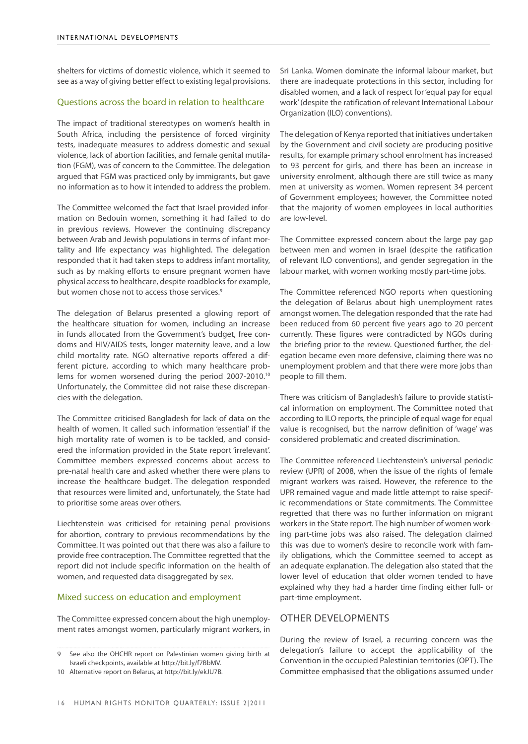shelters for victims of domestic violence, which it seemed to see as a way of giving better effect to existing legal provisions.

#### Questions across the board in relation to healthcare

The impact of traditional stereotypes on women's health in South Africa, including the persistence of forced virginity tests, inadequate measures to address domestic and sexual violence, lack of abortion facilities, and female genital mutilation (FGM), was of concern to the Committee. The delegation argued that FGM was practiced only by immigrants, but gave no information as to how it intended to address the problem.

The Committee welcomed the fact that Israel provided information on Bedouin women, something it had failed to do in previous reviews. However the continuing discrepancy between Arab and Jewish populations in terms of infant mortality and life expectancy was highlighted. The delegation responded that it had taken steps to address infant mortality, such as by making efforts to ensure pregnant women have physical access to healthcare, despite roadblocks for example, but women chose not to access those services.<sup>9</sup>

The delegation of Belarus presented a glowing report of the healthcare situation for women, including an increase in funds allocated from the Government's budget, free condoms and HIV/AIDS tests, longer maternity leave, and a low child mortality rate. NGO alternative reports offered a different picture, according to which many healthcare problems for women worsened during the period 2007-2010.10 Unfortunately, the Committee did not raise these discrepancies with the delegation.

The Committee criticised Bangladesh for lack of data on the health of women. It called such information 'essential' if the high mortality rate of women is to be tackled, and considered the information provided in the State report 'irrelevant'. Committee members expressed concerns about access to pre-natal health care and asked whether there were plans to increase the healthcare budget. The delegation responded that resources were limited and, unfortunately, the State had to prioritise some areas over others.

Liechtenstein was criticised for retaining penal provisions for abortion, contrary to previous recommendations by the Committee. It was pointed out that there was also a failure to provide free contraception. The Committee regretted that the report did not include specific information on the health of women, and requested data disaggregated by sex.

#### Mixed success on education and employment

The Committee expressed concern about the high unemployment rates amongst women, particularly migrant workers, in Sri Lanka. Women dominate the informal labour market, but there are inadequate protections in this sector, including for disabled women, and a lack of respect for 'equal pay for equal work' (despite the ratification of relevant International Labour Organization (ILO) conventions).

The delegation of Kenya reported that initiatives undertaken by the Government and civil society are producing positive results, for example primary school enrolment has increased to 93 percent for girls, and there has been an increase in university enrolment, although there are still twice as many men at university as women. Women represent 34 percent of Government employees; however, the Committee noted that the majority of women employees in local authorities are low-level.

The Committee expressed concern about the large pay gap between men and women in Israel (despite the ratification of relevant ILO conventions), and gender segregation in the labour market, with women working mostly part-time jobs.

The Committee referenced NGO reports when questioning the delegation of Belarus about high unemployment rates amongst women. The delegation responded that the rate had been reduced from 60 percent five years ago to 20 percent currently. These figures were contradicted by NGOs during the briefing prior to the review. Questioned further, the delegation became even more defensive, claiming there was no unemployment problem and that there were more jobs than people to fill them.

There was criticism of Bangladesh's failure to provide statistical information on employment. The Committee noted that according to ILO reports, the principle of equal wage for equal value is recognised, but the narrow definition of 'wage' was considered problematic and created discrimination.

The Committee referenced Liechtenstein's universal periodic review (UPR) of 2008, when the issue of the rights of female migrant workers was raised. However, the reference to the UPR remained vague and made little attempt to raise specific recommendations or State commitments. The Committee regretted that there was no further information on migrant workers in the State report. The high number of women working part-time jobs was also raised. The delegation claimed this was due to women's desire to reconcile work with family obligations, which the Committee seemed to accept as an adequate explanation. The delegation also stated that the lower level of education that older women tended to have explained why they had a harder time finding either full- or part-time employment.

#### OTHER DEVELOPMENTS

During the review of Israel, a recurring concern was the delegation's failure to accept the applicability of the Convention in the occupied Palestinian territories (OPT). The Committee emphasised that the obligations assumed under

<sup>9</sup> See also the OHCHR report on Palestinian women giving birth at Israeli checkpoints, available at <http://bit.ly/f7BbMV>.

<sup>10</sup> Alternative report on Belarus, at<http://bit.ly/ekJU7B>.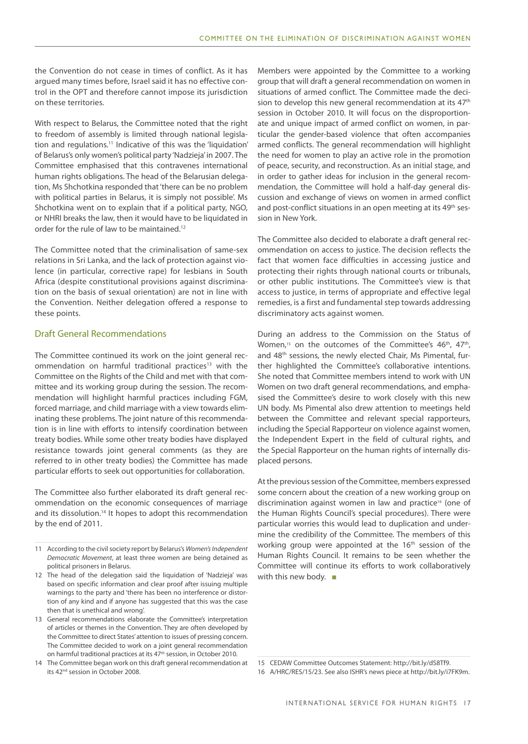the Convention do not cease in times of conflict. As it has argued many times before, Israel said it has no effective control in the OPT and therefore cannot impose its jurisdiction on these territories.

With respect to Belarus, the Committee noted that the right to freedom of assembly is limited through national legislation and regulations.11 Indicative of this was the 'liquidation' of Belarus's only women's political party 'Nadzieja' in 2007. The Committee emphasised that this contravenes international human rights obligations. The head of the Belarusian delegation, Ms Shchotkina responded that 'there can be no problem with political parties in Belarus, it is simply not possible'. Ms Shchotkina went on to explain that if a political party, NGO, or NHRI breaks the law, then it would have to be liquidated in order for the rule of law to be maintained.<sup>12</sup>

The Committee noted that the criminalisation of same-sex relations in Sri Lanka, and the lack of protection against violence (in particular, corrective rape) for lesbians in South Africa (despite constitutional provisions against discrimination on the basis of sexual orientation) are not in line with the Convention. Neither delegation offered a response to these points.

#### Draft General Recommendations

The Committee continued its work on the joint general recommendation on harmful traditional practices<sup>13</sup> with the Committee on the Rights of the Child and met with that committee and its working group during the session. The recommendation will highlight harmful practices including FGM, forced marriage, and child marriage with a view towards eliminating these problems. The joint nature of this recommendation is in line with efforts to intensify coordination between treaty bodies. While some other treaty bodies have displayed resistance towards joint general comments (as they are referred to in other treaty bodies) the Committee has made particular efforts to seek out opportunities for collaboration.

The Committee also further elaborated its draft general recommendation on the economic consequences of marriage and its dissolution.<sup>14</sup> It hopes to adopt this recommendation by the end of 2011.

- 11 According to the civil society report by Belarus's *Women's Independent Democratic Movement*, at least three women are being detained as political prisoners in Belarus.
- 12 The head of the delegation said the liquidation of 'Nadzieja' was based on specific information and clear proof after issuing multiple warnings to the party and 'there has been no interference or distortion of any kind and if anyone has suggested that this was the case then that is unethical and wrong'.
- 13 General recommendations elaborate the Committee's interpretation of articles or themes in the Convention. They are often developed by the Committee to direct States' attention to issues of pressing concern. The Committee decided to work on a joint general recommendation on harmful traditional practices at its 47<sup>th</sup> session, in October 2010.
- 14 The Committee began work on this draft general recommendation at its 42<sup>nd</sup> session in October 2008.

Members were appointed by the Committee to a working group that will draft a general recommendation on women in situations of armed conflict. The Committee made the decision to develop this new general recommendation at its 47<sup>th</sup> session in October 2010. It will focus on the disproportionate and unique impact of armed conflict on women, in particular the gender-based violence that often accompanies armed conflicts. The general recommendation will highlight the need for women to play an active role in the promotion of peace, security, and reconstruction. As an initial stage, and in order to gather ideas for inclusion in the general recommendation, the Committee will hold a half-day general discussion and exchange of views on women in armed conflict and post-conflict situations in an open meeting at its 49<sup>th</sup> session in New York.

The Committee also decided to elaborate a draft general recommendation on access to justice. The decision reflects the fact that women face difficulties in accessing justice and protecting their rights through national courts or tribunals, or other public institutions. The Committee's view is that access to justice, in terms of appropriate and effective legal remedies, is a first and fundamental step towards addressing discriminatory acts against women.

During an address to the Commission on the Status of Women,<sup>15</sup> on the outcomes of the Committee's 46<sup>th</sup>, 47<sup>th</sup>, and 48<sup>th</sup> sessions, the newly elected Chair, Ms Pimental, further highlighted the Committee's collaborative intentions. She noted that Committee members intend to work with UN Women on two draft general recommendations, and emphasised the Committee's desire to work closely with this new UN body. Ms Pimental also drew attention to meetings held between the Committee and relevant special rapporteurs, including the Special Rapporteur on violence against women, the Independent Expert in the field of cultural rights, and the Special Rapporteur on the human rights of internally displaced persons.

At the previous session of the Committee, members expressed some concern about the creation of a new working group on discrimination against women in law and practice<sup>16</sup> (one of the Human Rights Council's special procedures). There were particular worries this would lead to duplication and undermine the credibility of the Committee. The members of this working group were appointed at the  $16<sup>th</sup>$  session of the Human Rights Council. It remains to be seen whether the Committee will continue its efforts to work collaboratively with this new body. ■

16 A/HRC/RES/15/23. See also ISHR's news piece at http://bit.ly/i7FK9m.

<sup>15</sup> CEDAW Committee Outcomes Statement: http://bit.ly/dS8Tf9.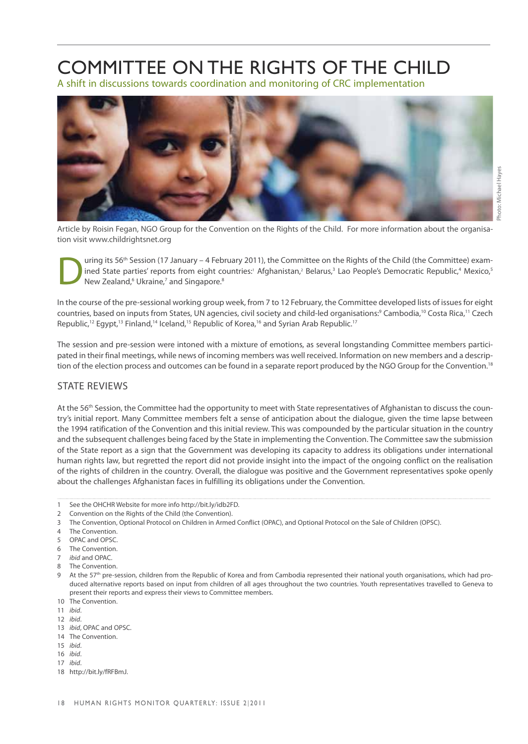### <span id="page-21-0"></span>COMMITTEE ON THE RIGHTS OF THE CHILD

A shift in discussions towards coordination and monitoring of CRC implementation



Article by Roisin Fegan, NGO Group for the Convention on the Rights of the Child. For more information about the organisation visit www.childrightsnet.org

Uning its 56<sup>th</sup> Session (17 January – 4 February 2011), the Committee on the Rights of the Child (the Committee) exam-<br>
New Zealand,<sup>6</sup> Ukraine,<sup>7</sup> and Singapore.<sup>8</sup><br>
New Zealand,<sup>6</sup> Ukraine,<sup>7</sup> and Singapore.<sup>8</sup> ined State parties' reports from eight countries:<sup>1</sup> Afghanistan,<sup>2</sup> Belarus,<sup>3</sup> Lao People's Democratic Republic,<sup>4</sup> Mexico,<sup>5</sup> New Zealand, <sup>6</sup> Ukraine, 7 and Singapore. <sup>8</sup>

In the course of the pre-sessional working group week, from 7 to 12 February, the Committee developed lists of issues for eight countries, based on inputs from States, UN agencies, civil society and child-led organisations:9 Cambodia,10 Costa Rica,11 Czech Republic,<sup>12</sup> Egypt,<sup>13</sup> Finland,<sup>14</sup> Iceland,<sup>15</sup> Republic of Korea,<sup>16</sup> and Syrian Arab Republic.<sup>17</sup>

The session and pre-session were intoned with a mixture of emotions, as several longstanding Committee members participated in their final meetings, while news of incoming members was well received. Information on new members and a description of the election process and outcomes can be found in a separate report produced by the NGO Group for the Convention.<sup>18</sup>

#### **STATE REVIEWS**

At the 56<sup>th</sup> Session, the Committee had the opportunity to meet with State representatives of Afghanistan to discuss the country's initial report. Many Committee members felt a sense of anticipation about the dialogue, given the time lapse between the 1994 ratification of the Convention and this initial review. This was compounded by the particular situation in the country and the subsequent challenges being faced by the State in implementing the Convention. The Committee saw the submission of the State report as a sign that the Government was developing its capacity to address its obligations under international human rights law, but regretted the report did not provide insight into the impact of the ongoing conflict on the realisation of the rights of children in the country. Overall, the dialogue was positive and the Government representatives spoke openly about the challenges Afghanistan faces in fulfilling its obligations under the Convention.

- 1 See the OHCHR Website for more info [http://bit.ly/idb2FD.](http://bit.ly/idb2FD)
- 2 Convention on the Rights of the Child (the Convention).
- 3 The Convention, Optional Protocol on Children in Armed Conflict (OPAC), and Optional Protocol on the Sale of Children (OPSC).
- 4 The Convention.
- 5 OPAC and OPSC.
- 6 The Convention.
- 7 *ibid* and OPAC.
- 8 The Convention.
- At the 57<sup>th</sup> pre-session, children from the Republic of Korea and from Cambodia represented their national youth organisations, which had produced alternative reports based on input from children of all ages throughout the two countries. Youth representatives travelled to Geneva to present their reports and express their views to Committee members.
- 10 The Convention.
- 11 *ibid*.
- 12 *ibid*.
- 13 *ibid*, OPAC and OPSC.
- 14 The Convention.
- 15 *ibid*.
- 16 *ibid*.
- 17 *ibid*.
- 18 http://bit.ly/fRFBmJ.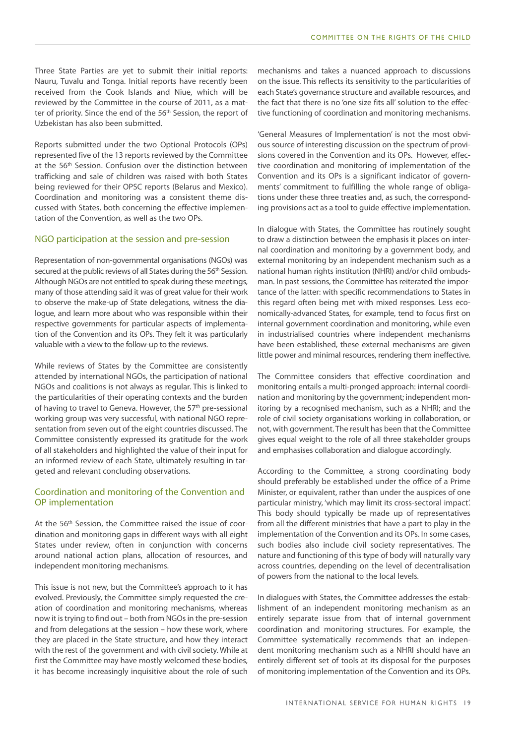Three State Parties are yet to submit their initial reports: Nauru, Tuvalu and Tonga. Initial reports have recently been received from the Cook Islands and Niue, which will be reviewed by the Committee in the course of 2011, as a matter of priority. Since the end of the 56<sup>th</sup> Session, the report of Uzbekistan has also been submitted.

Reports submitted under the two Optional Protocols (OPs) represented five of the 13 reports reviewed by the Committee at the 56<sup>th</sup> Session. Confusion over the distinction between trafficking and sale of children was raised with both States being reviewed for their OPSC reports (Belarus and Mexico). Coordination and monitoring was a consistent theme discussed with States, both concerning the effective implementation of the Convention, as well as the two OPs.

#### NGO participation at the session and pre-session

Representation of non-governmental organisations (NGOs) was secured at the public reviews of all States during the 56<sup>th</sup> Session. Although NGOs are not entitled to speak during these meetings, many of those attending said it was of great value for their work to observe the make-up of State delegations, witness the dialogue, and learn more about who was responsible within their respective governments for particular aspects of implementation of the Convention and its OPs. They felt it was particularly valuable with a view to the follow-up to the reviews.

While reviews of States by the Committee are consistently attended by international NGOs, the participation of national NGOs and coalitions is not always as regular. This is linked to the particularities of their operating contexts and the burden of having to travel to Geneva. However, the 57<sup>th</sup> pre-sessional working group was very successful, with national NGO representation from seven out of the eight countries discussed. The Committee consistently expressed its gratitude for the work of all stakeholders and highlighted the value of their input for an informed review of each State, ultimately resulting in targeted and relevant concluding observations.

#### Coordination and monitoring of the Convention and OP implementation

At the 56<sup>th</sup> Session, the Committee raised the issue of coordination and monitoring gaps in different ways with all eight States under review, often in conjunction with concerns around national action plans, allocation of resources, and independent monitoring mechanisms.

This issue is not new, but the Committee's approach to it has evolved. Previously, the Committee simply requested the creation of coordination and monitoring mechanisms, whereas now it is trying to find out – both from NGOs in the pre-session and from delegations at the session – how these work, where they are placed in the State structure, and how they interact with the rest of the government and with civil society. While at first the Committee may have mostly welcomed these bodies, it has become increasingly inquisitive about the role of such

mechanisms and takes a nuanced approach to discussions on the issue. This reflects its sensitivity to the particularities of each State's governance structure and available resources, and the fact that there is no 'one size fits all' solution to the effective functioning of coordination and monitoring mechanisms.

'General Measures of Implementation' is not the most obvious source of interesting discussion on the spectrum of provisions covered in the Convention and its OPs. However, effective coordination and monitoring of implementation of the Convention and its OPs is a significant indicator of governments' commitment to fulfilling the whole range of obligations under these three treaties and, as such, the corresponding provisions act as a tool to guide effective implementation.

In dialogue with States, the Committee has routinely sought to draw a distinction between the emphasis it places on internal coordination and monitoring by a government body, and external monitoring by an independent mechanism such as a national human rights institution (NHRI) and/or child ombudsman. In past sessions, the Committee has reiterated the importance of the latter: with specific recommendations to States in this regard often being met with mixed responses. Less economically-advanced States, for example, tend to focus first on internal government coordination and monitoring, while even in industrialised countries where independent mechanisms have been established, these external mechanisms are given little power and minimal resources, rendering them ineffective.

The Committee considers that effective coordination and monitoring entails a multi-pronged approach: internal coordination and monitoring by the government; independent monitoring by a recognised mechanism, such as a NHRI; and the role of civil society organisations working in collaboration, or not, with government. The result has been that the Committee gives equal weight to the role of all three stakeholder groups and emphasises collaboration and dialogue accordingly.

According to the Committee, a strong coordinating body should preferably be established under the office of a Prime Minister, or equivalent, rather than under the auspices of one particular ministry, 'which may limit its cross-sectoral impact'. This body should typically be made up of representatives from all the different ministries that have a part to play in the implementation of the Convention and its OPs. In some cases, such bodies also include civil society representatives. The nature and functioning of this type of body will naturally vary across countries, depending on the level of decentralisation of powers from the national to the local levels.

In dialogues with States, the Committee addresses the establishment of an independent monitoring mechanism as an entirely separate issue from that of internal government coordination and monitoring structures. For example, the Committee systematically recommends that an independent monitoring mechanism such as a NHRI should have an entirely different set of tools at its disposal for the purposes of monitoring implementation of the Convention and its OPs.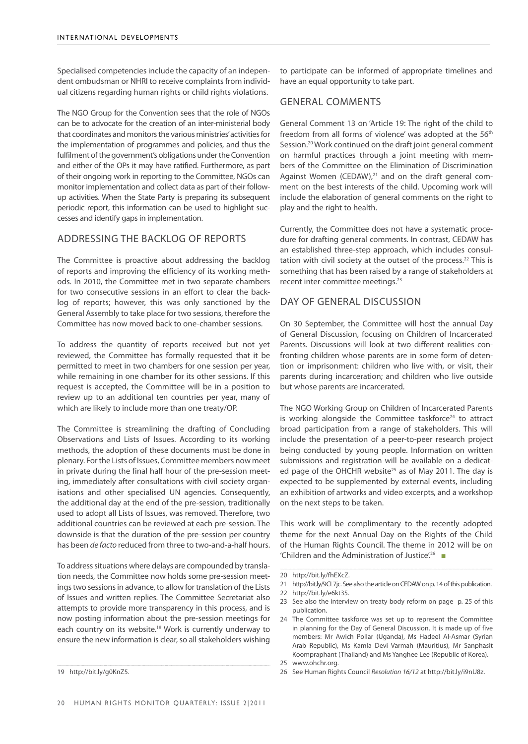Specialised competencies include the capacity of an independent ombudsman or NHRI to receive complaints from individual citizens regarding human rights or child rights violations.

The NGO Group for the Convention sees that the role of NGOs can be to advocate for the creation of an inter-ministerial body that coordinates and monitors the various ministries' activities for the implementation of programmes and policies, and thus the fulfilment of the government's obligations under the Convention and either of the OPs it may have ratified. Furthermore, as part of their ongoing work in reporting to the Committee, NGOs can monitor implementation and collect data as part of their followup activities. When the State Party is preparing its subsequent periodic report, this information can be used to highlight successes and identify gaps in implementation.

#### Addressing the backlog of reports

The Committee is proactive about addressing the backlog of reports and improving the efficiency of its working methods. In 2010, the Committee met in two separate chambers for two consecutive sessions in an effort to clear the backlog of reports; however, this was only sanctioned by the General Assembly to take place for two sessions, therefore the Committee has now moved back to one-chamber sessions.

To address the quantity of reports received but not yet reviewed, the Committee has formally requested that it be permitted to meet in two chambers for one session per year, while remaining in one chamber for its other sessions. If this request is accepted, the Committee will be in a position to review up to an additional ten countries per year, many of which are likely to include more than one treaty/OP.

The Committee is streamlining the drafting of Concluding Observations and Lists of Issues. According to its working methods, the adoption of these documents must be done in plenary. For the Lists of Issues, Committee members now meet in private during the final half hour of the pre-session meeting, immediately after consultations with civil society organisations and other specialised UN agencies. Consequently, the additional day at the end of the pre-session, traditionally used to adopt all Lists of Issues, was removed. Therefore, two additional countries can be reviewed at each pre-session. The downside is that the duration of the pre-session per country has been *de facto* reduced from three to two-and-a-half hours.

To address situations where delays are compounded by translation needs, the Committee now holds some pre-session meetings two sessions in advance, to allow for translation of the Lists of Issues and written replies. The Committee Secretariat also attempts to provide more transparency in this process, and is now posting information about the pre-session meetings for each country on its [website](http://www2.ohchr.org/english/bodies/crc/sessions.htm).<sup>19</sup> Work is currently underway to ensure the new information is clear, so all stakeholders wishing

to participate can be informed of appropriate timelines and have an equal opportunity to take part.

#### General comments

General Comment 13 on 'Article 19: The right of the child to freedom from all forms of violence' was adopted at the 56<sup>th</sup> Session.20 Work continued on the draft joint general comment on harmful practices through a joint meeting with members of the Committee on the Elimination of Discrimination Against Women (CEDAW), $21$  and on the draft general comment on the best interests of the child. Upcoming work will include the elaboration of general comments on the right to play and the right to health.

Currently, the Committee does not have a systematic procedure for drafting general comments. In contrast, CEDAW has an established three-step approach, which includes consultation with civil society at the outset of the process.<sup>22</sup> This is something that has been raised by a range of stakeholders at recent inter-committee meetings.23

#### Day of General Discussion

On 30 September, the Committee will host the annual Day of General Discussion, focusing on Children of Incarcerated Parents. Discussions will look at two different realities confronting children whose parents are in some form of detention or imprisonment: children who live with, or visit, their parents during incarceration; and children who live outside but whose parents are incarcerated.

The NGO Working Group on Children of Incarcerated Parents is working alongside the Committee taskforce<sup>24</sup> to attract broad participation from a range of stakeholders. This will include the presentation of a peer-to-peer research project being conducted by young people. Information on written submissions and registration will be available on a dedicated page of the OHCHR website<sup>25</sup> as of May 2011. The day is expected to be supplemented by external events, including an exhibition of artworks and video excerpts, and a workshop on the next steps to be taken.

This work will be complimentary to the recently adopted theme for the next Annual Day on the Rights of the Child of the Human Rights Council. The theme in 2012 will be on 'Children and the Administration of Justice'.26 ■

26 See Human Rights Council *Resolution 16/12* at http://bit.ly/i9nU8z.

<sup>19</sup> [http://bit.ly/g0KnZ5.](http://bit.ly/g0KnZ5)

<sup>20</sup> [http://bit.ly/fhEXcZ.](http://bit.ly/fhEXcZ)

<sup>21</sup> http://bit.ly/9CL7jc. See also the article on CEDAW on [p. 14](#page-17-0) of this publication.

<sup>22</sup> <http://bit.ly/e6kt35>.

<sup>23</sup> See also the interview on treaty body reform on page [p. 25](#page-28-0) of this publication.

<sup>24</sup> The Committee taskforce was set up to represent the Committee in planning for the Day of General Discussion. It is made up of five members: Mr Awich Pollar (Uganda), Ms Hadeel Al-Asmar (Syrian Arab Republic), Ms Kamla Devi Varmah (Mauritius), Mr Sanphasit Koompraphant (Thailand) and Ms Yanghee Lee (Republic of Korea). 25 www.ohchr.org.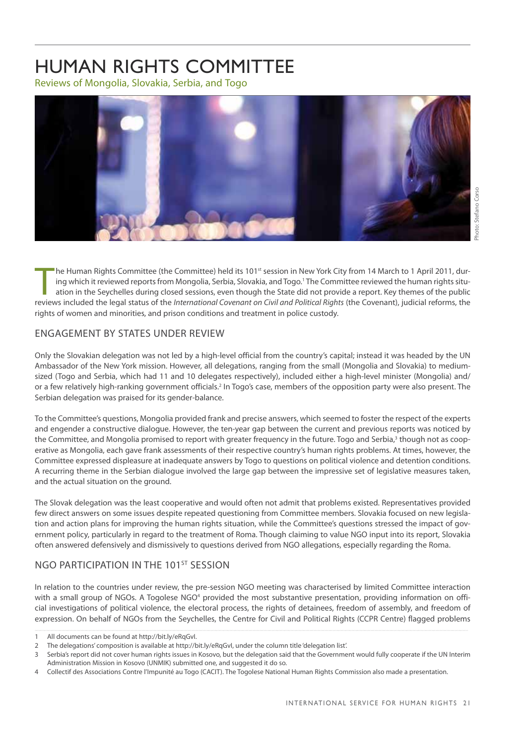### <span id="page-24-0"></span>HUMAN RIGHTS COMMITTEE

Reviews of Mongolia, Slovakia, Serbia, and Togo



The Human Rights Committee (the Committee) held its 101<sup>st</sup> session in New York City from 14 March to 1 April 2011, during which it reviewed reports from Mongolia, Serbia, Slovakia, and Togo.<sup>1</sup> The Committee reviewed the he Human Rights Committee (the Committee) held its 101<sup>st</sup> session in New York City from 14 March to 1 April 2011, during which it reviewed reports from Mongolia, Serbia, Slovakia, and Togo.1 The Committee reviewed the human rights situation in the Seychelles during closed sessions, even though the State did not provide a report. Key themes of the public rights of women and minorities, and prison conditions and treatment in police custody.

#### ENGAGEMENT BY STATES UNDER REVIEW

Only the Slovakian delegation was not led by a high-level official from the country's capital; instead it was headed by the UN Ambassador of the New York mission. However, all delegations, ranging from the small (Mongolia and Slovakia) to mediumsized (Togo and Serbia, which had 11 and 10 delegates respectively), included either a high-level minister (Mongolia) and/ or a few relatively high-ranking government officials.<sup>2</sup> In Togo's case, members of the opposition party were also present. The Serbian delegation was praised for its gender-balance.

To the Committee's questions, Mongolia provided frank and precise answers, which seemed to foster the respect of the experts and engender a constructive dialogue. However, the ten-year gap between the current and previous reports was noticed by the Committee, and Mongolia promised to report with greater frequency in the future. Togo and Serbia,<sup>3</sup> though not as cooperative as Mongolia, each gave frank assessments of their respective country's human rights problems. At times, however, the Committee expressed displeasure at inadequate answers by Togo to questions on political violence and detention conditions. A recurring theme in the Serbian dialogue involved the large gap between the impressive set of legislative measures taken, and the actual situation on the ground.

The Slovak delegation was the least cooperative and would often not admit that problems existed. Representatives provided few direct answers on some issues despite repeated questioning from Committee members. Slovakia focused on new legislation and action plans for improving the human rights situation, while the Committee's questions stressed the impact of government policy, particularly in regard to the treatment of Roma. Though claiming to value NGO input into its report, Slovakia often answered defensively and dismissively to questions derived from NGO allegations, especially regarding the Roma.

#### NGO PARTICIPATION IN THE 101<sup>ST</sup> SESSION

In relation to the countries under review, the pre-session NGO meeting was characterised by limited Committee interaction with a small group of NGOs. A Togolese NGO<sup>4</sup> provided the most substantive presentation, providing information on official investigations of political violence, the electoral process, the rights of detainees, freedom of assembly, and freedom of expression. On behalf of NGOs from the Seychelles, the Centre for Civil and Political Rights (CCPR Centre) flagged problems

<sup>1</sup> All documents can be found at http://bit.ly/eRqGvI.

<sup>2</sup> The delegations' composition is available at http://bit.ly/eRqGvI, under the column title 'delegation list'.

<sup>3</sup> Serbia's report did not cover human rights issues in Kosovo, but the delegation said that the Government would fully cooperate if the UN Interim Administration Mission in Kosovo (UNMIK) submitted one, and suggested it do so.

<sup>4</sup> Collectif des Associations Contre l'Impunité au Togo (CACIT). The Togolese National Human Rights Commission also made a presentation.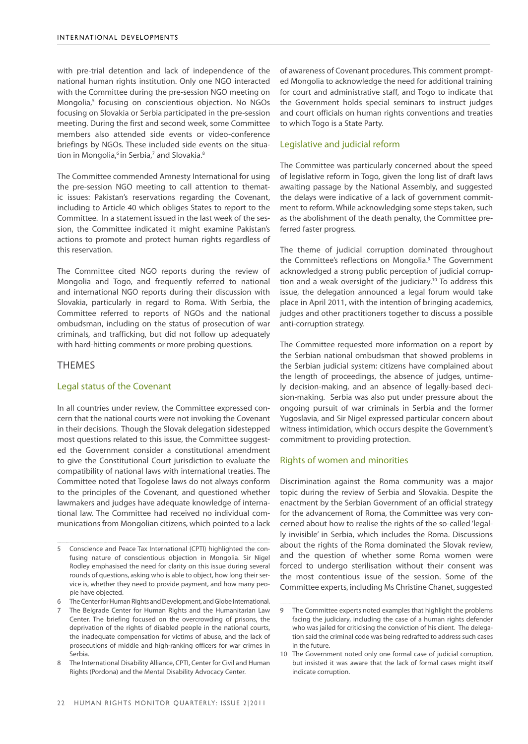with pre-trial detention and lack of independence of the national human rights institution. Only one NGO interacted with the Committee during the pre-session NGO meeting on Mongolia,<sup>5</sup> focusing on conscientious objection. No NGOs focusing on Slovakia or Serbia participated in the pre-session meeting. During the first and second week, some Committee members also attended side events or video-conference briefings by NGOs. These included side events on the situation in Mongolia,<sup>6</sup> in Serbia,<sup>7</sup> and Slovakia.<sup>8</sup>

The Committee commended Amnesty International for using the pre-session NGO meeting to call attention to thematic issues: Pakistan's reservations regarding the Covenant, including to Article 40 which obliges States to report to the Committee. In a statement issued in the last week of the session, the Committee indicated it might examine Pakistan's actions to promote and protect human rights regardless of this reservation.

The Committee cited NGO reports during the review of Mongolia and Togo, and frequently referred to national and international NGO reports during their discussion with Slovakia, particularly in regard to Roma. With Serbia, the Committee referred to reports of NGOs and the national ombudsman, including on the status of prosecution of war criminals, and trafficking, but did not follow up adequately with hard-hitting comments or more probing questions.

#### THEMES

#### Legal status of the Covenant

In all countries under review, the Committee expressed concern that the national courts were not invoking the Covenant in their decisions. Though the Slovak delegation sidestepped most questions related to this issue, the Committee suggested the Government consider a constitutional amendment to give the Constitutional Court jurisdiction to evaluate the compatibility of national laws with international treaties. The Committee noted that Togolese laws do not always conform to the principles of the Covenant, and questioned whether lawmakers and judges have adequate knowledge of international law. The Committee had received no individual communications from Mongolian citizens, which pointed to a lack

of awareness of Covenant procedures. This comment prompted Mongolia to acknowledge the need for additional training for court and administrative staff, and Togo to indicate that the Government holds special seminars to instruct judges and court officials on human rights conventions and treaties to which Togo is a State Party.

#### Legislative and judicial reform

The Committee was particularly concerned about the speed of legislative reform in Togo, given the long list of draft laws awaiting passage by the National Assembly, and suggested the delays were indicative of a lack of government commitment to reform. While acknowledging some steps taken, such as the abolishment of the death penalty, the Committee preferred faster progress.

The theme of judicial corruption dominated throughout the Committee's reflections on Mongolia.9 The Government acknowledged a strong public perception of judicial corruption and a weak oversight of the judiciary.<sup>10</sup> To address this issue, the delegation announced a legal forum would take place in April 2011, with the intention of bringing academics, judges and other practitioners together to discuss a possible anti-corruption strategy.

The Committee requested more information on a report by the Serbian national ombudsman that showed problems in the Serbian judicial system: citizens have complained about the length of proceedings, the absence of judges, untimely decision-making, and an absence of legally-based decision-making. Serbia was also put under pressure about the ongoing pursuit of war criminals in Serbia and the former Yugoslavia, and Sir Nigel expressed particular concern about witness intimidation, which occurs despite the Government's commitment to providing protection.

#### Rights of women and minorities

Discrimination against the Roma community was a major topic during the review of Serbia and Slovakia. Despite the enactment by the Serbian Government of an official strategy for the advancement of Roma, the Committee was very concerned about how to realise the rights of the so-called 'legally invisible' in Serbia, which includes the Roma. Discussions about the rights of the Roma dominated the Slovak review, and the question of whether some Roma women were forced to undergo sterilisation without their consent was the most contentious issue of the session. Some of the Committee experts, including Ms Christine Chanet, suggested

<sup>5</sup> Conscience and Peace Tax International (CPTI) highlighted the confusing nature of conscientious objection in Mongolia. Sir Nigel Rodley emphasised the need for clarity on this issue during several rounds of questions, asking who is able to object, how long their service is, whether they need to provide payment, and how many people have objected.

The Center for Human Rights and Development, and Globe International.

The Belgrade Center for Human Rights and the Humanitarian Law Center. The briefing focused on the overcrowding of prisons, the deprivation of the rights of disabled people in the national courts, the inadequate compensation for victims of abuse, and the lack of prosecutions of middle and high-ranking officers for war crimes in Serbia.

<sup>8</sup> The International Disability Alliance, CPTI, Center for Civil and Human Rights (Pordona) and the Mental Disability Advocacy Center.

<sup>9</sup> The Committee experts noted examples that highlight the problems facing the judiciary, including the case of a human rights defender who was jailed for criticising the conviction of his client. The delegation said the criminal code was being redrafted to address such cases in the future.

<sup>10</sup> The Government noted only one formal case of judicial corruption, but insisted it was aware that the lack of formal cases might itself indicate corruption.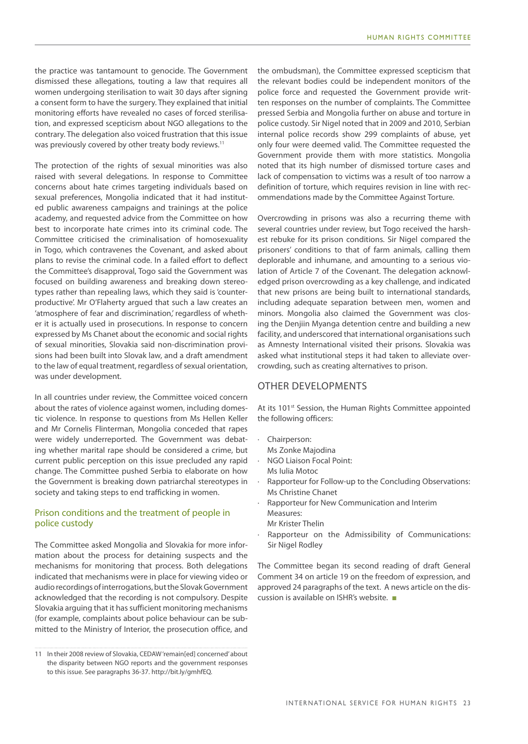the practice was tantamount to genocide. The Government dismissed these allegations, touting a law that requires all women undergoing sterilisation to wait 30 days after signing a consent form to have the surgery. They explained that initial monitoring efforts have revealed no cases of forced sterilisation, and expressed scepticism about NGO allegations to the contrary. The delegation also voiced frustration that this issue was previously covered by other treaty body reviews.<sup>11</sup>

The protection of the rights of sexual minorities was also raised with several delegations. In response to Committee concerns about hate crimes targeting individuals based on sexual preferences, Mongolia indicated that it had instituted public awareness campaigns and trainings at the police academy, and requested advice from the Committee on how best to incorporate hate crimes into its criminal code. The Committee criticised the criminalisation of homosexuality in Togo, which contravenes the Covenant, and asked about plans to revise the criminal code. In a failed effort to deflect the Committee's disapproval, Togo said the Government was focused on building awareness and breaking down stereotypes rather than repealing laws, which they said is 'counterproductive'. Mr O'Flaherty argued that such a law creates an 'atmosphere of fear and discrimination,' regardless of whether it is actually used in prosecutions. In response to concern expressed by Ms Chanet about the economic and social rights of sexual minorities, Slovakia said non-discrimination provisions had been built into Slovak law, and a draft amendment to the law of equal treatment, regardless of sexual orientation, was under development.

In all countries under review, the Committee voiced concern about the rates of violence against women, including domestic violence. In response to questions from Ms Hellen Keller and Mr Cornelis Flinterman, Mongolia conceded that rapes were widely underreported. The Government was debating whether marital rape should be considered a crime, but current public perception on this issue precluded any rapid change. The Committee pushed Serbia to elaborate on how the Government is breaking down patriarchal stereotypes in society and taking steps to end trafficking in women.

#### Prison conditions and the treatment of people in police custody

The Committee asked Mongolia and Slovakia for more information about the process for detaining suspects and the mechanisms for monitoring that process. Both delegations indicated that mechanisms were in place for viewing video or audio recordings of interrogations, but the Slovak Government acknowledged that the recording is not compulsory. Despite Slovakia arguing that it has sufficient monitoring mechanisms (for example, complaints about police behaviour can be submitted to the Ministry of Interior, the prosecution office, and

the ombudsman), the Committee expressed scepticism that the relevant bodies could be independent monitors of the police force and requested the Government provide written responses on the number of complaints. The Committee pressed Serbia and Mongolia further on abuse and torture in police custody. Sir Nigel noted that in 2009 and 2010, Serbian internal police records show 299 complaints of abuse, yet only four were deemed valid. The Committee requested the Government provide them with more statistics. Mongolia noted that its high number of dismissed torture cases and lack of compensation to victims was a result of too narrow a definition of torture, which requires revision in line with recommendations made by the Committee Against Torture.

Overcrowding in prisons was also a recurring theme with several countries under review, but Togo received the harshest rebuke for its prison conditions. Sir Nigel compared the prisoners' conditions to that of farm animals, calling them deplorable and inhumane, and amounting to a serious violation of Article 7 of the Covenant. The delegation acknowledged prison overcrowding as a key challenge, and indicated that new prisons are being built to international standards, including adequate separation between men, women and minors. Mongolia also claimed the Government was closing the Denjiin Myanga detention centre and building a new facility, and underscored that international organisations such as Amnesty International visited their prisons. Slovakia was asked what institutional steps it had taken to alleviate overcrowding, such as creating alternatives to prison.

#### OTHER DEVELOPMENTS

At its 101<sup>st</sup> Session, the Human Rights Committee appointed the following officers:

- · Chairperson:
- Ms Zonke Majodina
- · NGO Liaison Focal Point: Ms Iulia Motoc
- Rapporteur for Follow-up to the Concluding Observations: Ms Christine Chanet
- · Rapporteur for New Communication and Interim Measures:
	- Mr Krister Thelin
- Rapporteur on the Admissibility of Communications: Sir Nigel Rodley

The Committee began its second reading of draft General Comment 34 on article 19 on the freedom of expression, and approved 24 paragraphs of the text. A news article on the discussion is available on ISHR's website. ■

<sup>11</sup> In their 2008 review of Slovakia, CEDAW 'remain[ed] concerned' about the disparity between NGO reports and the government responses to this issue. See paragraphs 36-37. http://bit.ly/gmhfEQ.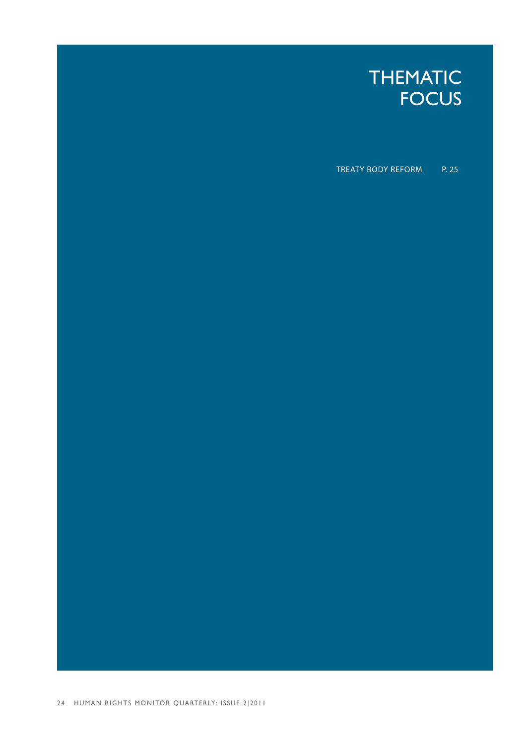

TREATY BODY REFORM P. 25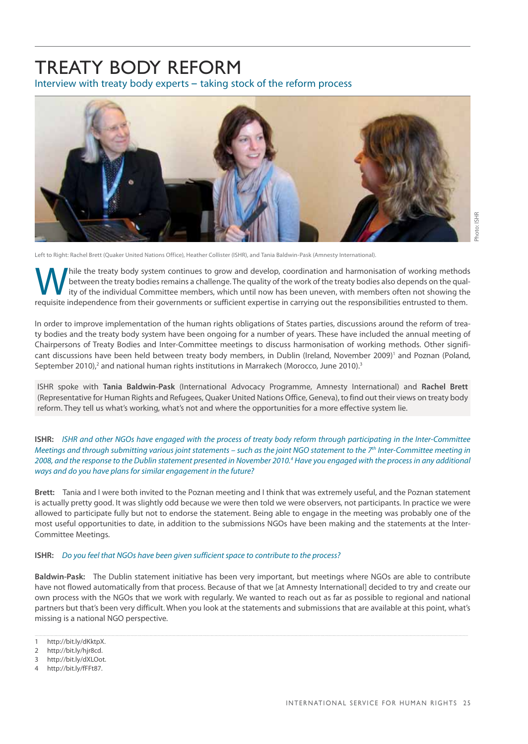### <span id="page-28-0"></span>Treaty Body Reform

Interview with treaty body experts – taking stock of the reform process



Left to Right: Rachel Brett (Quaker United Nations Office), Heather Collister (ISHR), and Tania Baldwin-Pask (Amnesty International).

While the treaty body system continues to grow and develop, coordination and harmonisation of working methods<br>ity of the individual Committee members, which until now has been uneven, with members often not showing the<br>req between the treaty bodies remains a challenge. The quality of the work of the treaty bodies also depends on the quality of the individual Committee members, which until now has been uneven, with members often not showing the requisite independence from their governments or sufficient expertise in carrying out the responsibilities entrusted to them.

In order to improve implementation of the human rights obligations of States parties, discussions around the reform of treaty bodies and the treaty body system have been ongoing for a number of years. These have included the annual meeting of Chairpersons of Treaty Bodies and Inter-Committee meetings to discuss harmonisation of working methods. Other significant discussions have been held between treaty body members, in Dublin (Ireland, November 2009)<sup>1</sup> and Poznan (Poland, September 2010),<sup>2</sup> and national human rights institutions in Marrakech (Morocco, June 2010).<sup>3</sup>

ISHR spoke with **Tania Baldwin-Pask** (International Advocacy Programme, Amnesty International) and **Rachel Brett** (Representative for Human Rights and Refugees, Quaker United Nations Office, Geneva), to find out their views on treaty body reform. They tell us what's working, what's not and where the opportunities for a more effective system lie.

**ISHR:** *ISHR and other NGOs have engaged with the process of treaty body reform through participating in the Inter-Committee Meetings and through submitting various joint statements – such as the joint NGO statement to the 7th Inter-Committee meeting in 2008, and the response to the Dublin statement presented in November 2010.4 Have you engaged with the process in any additional ways and do you have plans for similar engagement in the future?*

**Brett:** Tania and I were both invited to the Poznan meeting and I think that was extremely useful, and the Poznan statement is actually pretty good. It was slightly odd because we were then told we were observers, not participants. In practice we were allowed to participate fully but not to endorse the statement. Being able to engage in the meeting was probably one of the most useful opportunities to date, in addition to the submissions NGOs have been making and the statements at the Inter-Committee Meetings.

#### **ISHR:** *Do you feel that NGOs have been given sufficient space to contribute to the process?*

**Baldwin-Pask:** The Dublin statement initiative has been very important, but meetings where NGOs are able to contribute have not flowed automatically from that process. Because of that we [at Amnesty International] decided to try and create our own process with the NGOs that we work with regularly. We wanted to reach out as far as possible to regional and national partners but that's been very difficult. When you look at the statements and submissions that are available at this point, what's missing is a national NGO perspective.

<sup>1</sup> [http://bit.ly/dKktpX.](http://bit.ly/dKktpX)

<sup>2</sup> <http://bit.ly/hjr8cd>.

<sup>3</sup> <http://bit.ly/dXLOot>.

<sup>4</sup> <http://bit.ly/fFFt87>.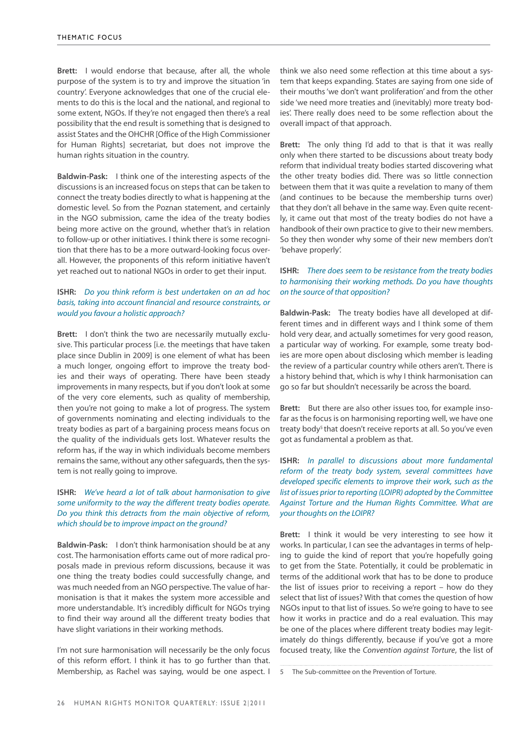**Brett:** I would endorse that because, after all, the whole purpose of the system is to try and improve the situation 'in country'. Everyone acknowledges that one of the crucial elements to do this is the local and the national, and regional to some extent, NGOs. If they're not engaged then there's a real possibility that the end result is something that is designed to assist States and the OHCHR [Office of the High Commissioner for Human Rights] secretariat, but does not improve the human rights situation in the country.

**Baldwin-Pask:** I think one of the interesting aspects of the discussions is an increased focus on steps that can be taken to connect the treaty bodies directly to what is happening at the domestic level. So from the Poznan statement, and certainly in the NGO submission, came the idea of the treaty bodies being more active on the ground, whether that's in relation to follow-up or other initiatives. I think there is some recognition that there has to be a more outward-looking focus overall. However, the proponents of this reform initiative haven't yet reached out to national NGOs in order to get their input.

#### **ISHR:** *Do you think reform is best undertaken on an ad hoc basis, taking into account financial and resource constraints, or would you favour a holistic approach?*

**Brett:** I don't think the two are necessarily mutually exclusive. This particular process [i.e. the meetings that have taken place since Dublin in 2009] is one element of what has been a much longer, ongoing effort to improve the treaty bodies and their ways of operating. There have been steady improvements in many respects, but if you don't look at some of the very core elements, such as quality of membership, then you're not going to make a lot of progress. The system of governments nominating and electing individuals to the treaty bodies as part of a bargaining process means focus on the quality of the individuals gets lost. Whatever results the reform has, if the way in which individuals become members remains the same, without any other safeguards, then the system is not really going to improve.

#### **ISHR:** *We've heard a lot of talk about harmonisation to give some uniformity to the way the different treaty bodies operate. Do you think this detracts from the main objective of reform, which should be to improve impact on the ground?*

**Baldwin-Pask:** I don't think harmonisation should be at any cost. The harmonisation efforts came out of more radical proposals made in previous reform discussions, because it was one thing the treaty bodies could successfully change, and was much needed from an NGO perspective. The value of harmonisation is that it makes the system more accessible and more understandable. It's incredibly difficult for NGOs trying to find their way around all the different treaty bodies that have slight variations in their working methods.

I'm not sure harmonisation will necessarily be the only focus of this reform effort. I think it has to go further than that. Membership, as Rachel was saying, would be one aspect. I think we also need some reflection at this time about a system that keeps expanding. States are saying from one side of their mouths 'we don't want proliferation' and from the other side 'we need more treaties and (inevitably) more treaty bodies'. There really does need to be some reflection about the overall impact of that approach.

**Brett:** The only thing I'd add to that is that it was really only when there started to be discussions about treaty body reform that individual treaty bodies started discovering what the other treaty bodies did. There was so little connection between them that it was quite a revelation to many of them (and continues to be because the membership turns over) that they don't all behave in the same way. Even quite recently, it came out that most of the treaty bodies do not have a handbook of their own practice to give to their new members. So they then wonder why some of their new members don't 'behave properly'.

#### **ISHR:** *There does seem to be resistance from the treaty bodies to harmonising their working methods. Do you have thoughts on the source of that opposition?*

**Baldwin-Pask:** The treaty bodies have all developed at different times and in different ways and I think some of them hold very dear, and actually sometimes for very good reason, a particular way of working. For example, some treaty bodies are more open about disclosing which member is leading the review of a particular country while others aren't. There is a history behind that, which is why I think harmonisation can go so far but shouldn't necessarily be across the board.

**Brett:** But there are also other issues too, for example insofar as the focus is on harmonising reporting well, we have one treaty body<sup>5</sup> that doesn't receive reports at all. So you've even got as fundamental a problem as that.

**ISHR:** *In parallel to discussions about more fundamental reform of the treaty body system, several committees have developed specific elements to improve their work, such as the list of issues prior to reporting (LOIPR) adopted by the Committee Against Torture and the Human Rights Committee. What are your thoughts on the LOIPR?*

**Brett:** I think it would be very interesting to see how it works. In particular, I can see the advantages in terms of helping to guide the kind of report that you're hopefully going to get from the State. Potentially, it could be problematic in terms of the additional work that has to be done to produce the list of issues prior to receiving a report – how do they select that list of issues? With that comes the question of how NGOs input to that list of issues. So we're going to have to see how it works in practice and do a real evaluation. This may be one of the places where different treaty bodies may legitimately do things differently, because if you've got a more focused treaty, like the *Convention against Torture*, the list of

<sup>5</sup> The Sub-committee on the Prevention of Torture.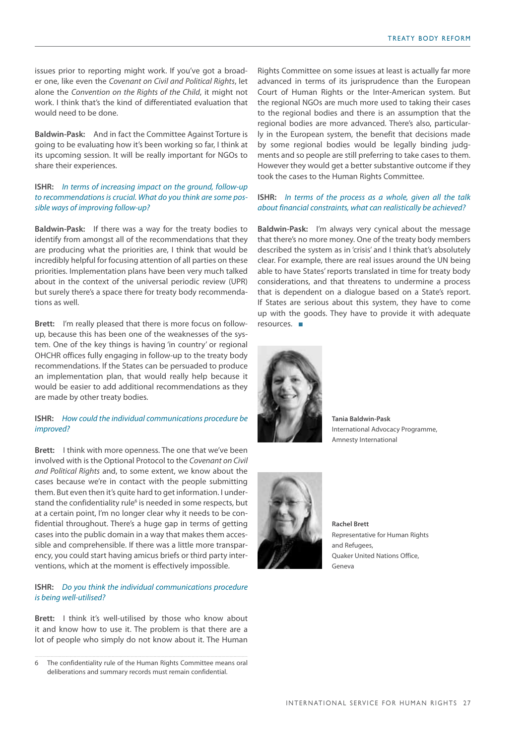issues prior to reporting might work. If you've got a broader one, like even the *Covenant on Civil and Political Rights*, let alone the *Convention on the Rights of the Child*, it might not work. I think that's the kind of differentiated evaluation that would need to be done.

**Baldwin-Pask:** And in fact the Committee Against Torture is going to be evaluating how it's been working so far, I think at its upcoming session. It will be really important for NGOs to share their experiences.

#### **ISHR:** *In terms of increasing impact on the ground, follow-up to recommendations is crucial. What do you think are some possible ways of improving follow-up?*

**Baldwin-Pask:** If there was a way for the treaty bodies to identify from amongst all of the recommendations that they are producing what the priorities are, I think that would be incredibly helpful for focusing attention of all parties on these priorities. Implementation plans have been very much talked about in the context of the universal periodic review (UPR) but surely there's a space there for treaty body recommendations as well.

**Brett:** I'm really pleased that there is more focus on followup, because this has been one of the weaknesses of the system. One of the key things is having 'in country' or regional OHCHR offices fully engaging in follow-up to the treaty body recommendations. If the States can be persuaded to produce an implementation plan, that would really help because it would be easier to add additional recommendations as they are made by other treaty bodies.

#### **ISHR:** *How could the individual communications procedure be improved?*

**Brett:** I think with more openness. The one that we've been involved with is the Optional Protocol to the *Covenant on Civil and Political Rights* and, to some extent, we know about the cases because we're in contact with the people submitting them. But even then it's quite hard to get information. I understand the confidentiality rule<sup>6</sup> is needed in some respects, but at a certain point, I'm no longer clear why it needs to be confidential throughout. There's a huge gap in terms of getting cases into the public domain in a way that makes them accessible and comprehensible. If there was a little more transparency, you could start having amicus briefs or third party interventions, which at the moment is effectively impossible.

#### **ISHR:** *Do you think the individual communications procedure is being well-utilised?*

**Brett:** I think it's well-utilised by those who know about it and know how to use it. The problem is that there are a lot of people who simply do not know about it. The Human

Rights Committee on some issues at least is actually far more advanced in terms of its jurisprudence than the European Court of Human Rights or the Inter-American system. But the regional NGOs are much more used to taking their cases to the regional bodies and there is an assumption that the regional bodies are more advanced. There's also, particularly in the European system, the benefit that decisions made by some regional bodies would be legally binding judgments and so people are still preferring to take cases to them. However they would get a better substantive outcome if they took the cases to the Human Rights Committee.

#### **ISHR:** *In terms of the process as a whole, given all the talk about financial constraints, what can realistically be achieved?*

**Baldwin-Pask:** I'm always very cynical about the message that there's no more money. One of the treaty body members described the system as in 'crisis' and I think that's absolutely clear. For example, there are real issues around the UN being able to have States' reports translated in time for treaty body considerations, and that threatens to undermine a process that is dependent on a dialogue based on a State's report. If States are serious about this system, they have to come up with the goods. They have to provide it with adequate resources. ■



**Tania Baldwin-Pask** International Advocacy Programme, Amnesty International



**Rachel Brett** Representative for Human Rights and Refugees, Quaker United Nations Office, Geneva

<sup>6</sup> The confidentiality rule of the Human Rights Committee means oral deliberations and summary records must remain confidential.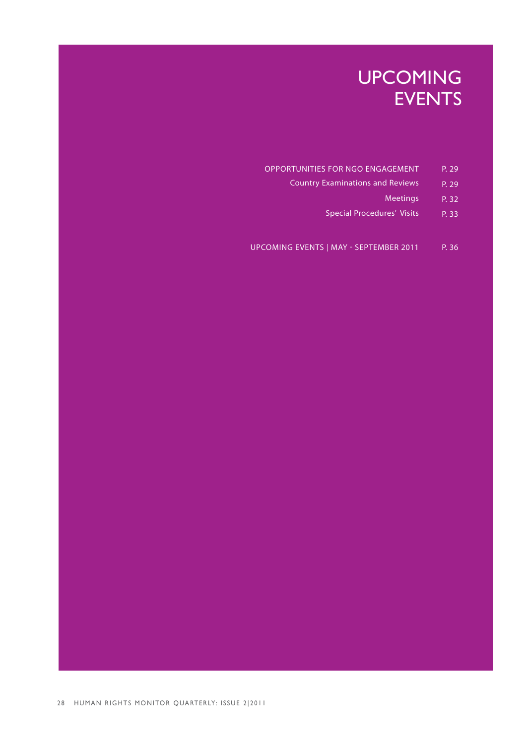### UPCOMING EVENTS

- OPPORTUNITIES FOR NGO ENGAGEMENT P. 29
	- Country Examinations and Reviews P. 29
		- Meetings P. 32
		- Special Procedures' Visits P. 33
- UPCOMING EVENTS | MAY SEPTEMBER 2011 P. 36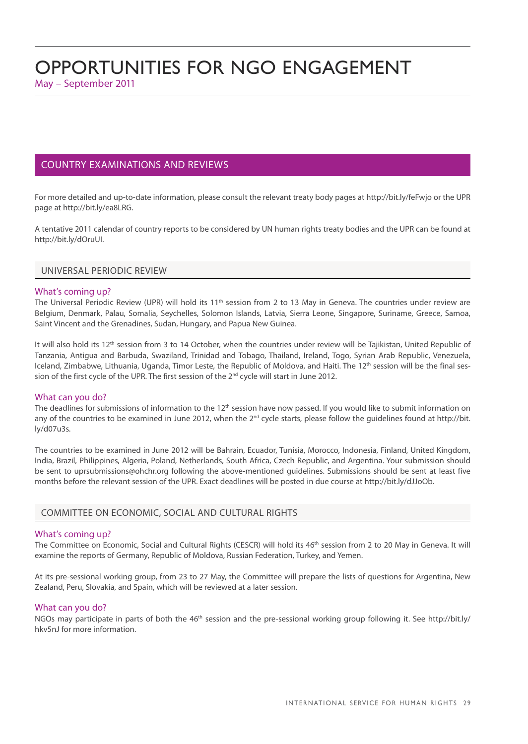#### <span id="page-32-1"></span><span id="page-32-0"></span>COUNTRY EXAMINATIONS AND REVIEWS

For more detailed and up-to-date information, please consult the relevant treaty body pages at<http://bit.ly/feFwjo>or the UPR page at [http://bit.ly/ea8LRG.](http://bit.ly/ea8LRG)

A tentative 2011 calendar of country reports to be considered by UN human rights treaty bodies and the UPR can be found at <http://bit.ly/dOruUI>.

#### UNIVERSAL PERIODIC REVIEW

#### What's coming up?

The Universal Periodic Review (UPR) will hold its 11<sup>th</sup> session from 2 to 13 May in Geneva. The countries under review are Belgium, Denmark, Palau, Somalia, Seychelles, Solomon Islands, Latvia, Sierra Leone, Singapore, Suriname, Greece, Samoa, Saint Vincent and the Grenadines, Sudan, Hungary, and Papua New Guinea.

It will also hold its 12<sup>th</sup> session from 3 to 14 October, when the countries under review will be Tajikistan, United Republic of Tanzania, Antigua and Barbuda, Swaziland, Trinidad and Tobago, Thailand, Ireland, Togo, Syrian Arab Republic, Venezuela, Iceland, Zimbabwe, Lithuania, Uganda, Timor Leste, the Republic of Moldova, and Haiti. The 12<sup>th</sup> session will be the final session of the first cycle of the UPR. The first session of the 2<sup>nd</sup> cycle will start in June 2012.

#### What can you do?

The deadlines for submissions of information to the 12<sup>th</sup> session have now passed. If you would like to submit information on any of the countries to be examined in June 2012, when the 2<sup>nd</sup> cycle starts, please follow the guidelines found at http://bit. ly/d07u3s.

The countries to be examined in June 2012 will be Bahrain, Ecuador, Tunisia, Morocco, Indonesia, Finland, United Kingdom, India, Brazil, Philippines, Algeria, Poland, Netherlands, South Africa, Czech Republic, and Argentina. Your submission should be sent to uprsubmissions@ohchr.org following the above-mentioned guidelines. Submissions should be sent at least five months before the relevant session of the UPR. Exact deadlines will be posted in due course at http://bit.ly/dJJoOb.

#### COMMITTEE ON ECONOMIC, SOCIAL AND CULTURAL RIGHTS

#### What's coming up?

The Committee on Economic, Social and Cultural Rights (CESCR) will hold its 46<sup>th</sup> session from 2 to 20 May in Geneva. It will examine the reports of Germany, Republic of Moldova, Russian Federation, Turkey, and Yemen.

At its pre-sessional working group, from 23 to 27 May, the Committee will prepare the lists of questions for Argentina, New Zealand, Peru, Slovakia, and Spain, which will be reviewed at a later session.

#### What can you do?

NGOs may participate in parts of both the 46<sup>th</sup> session and the pre-sessional working group following it. See http://bit.ly/ hkv5nJ for more information.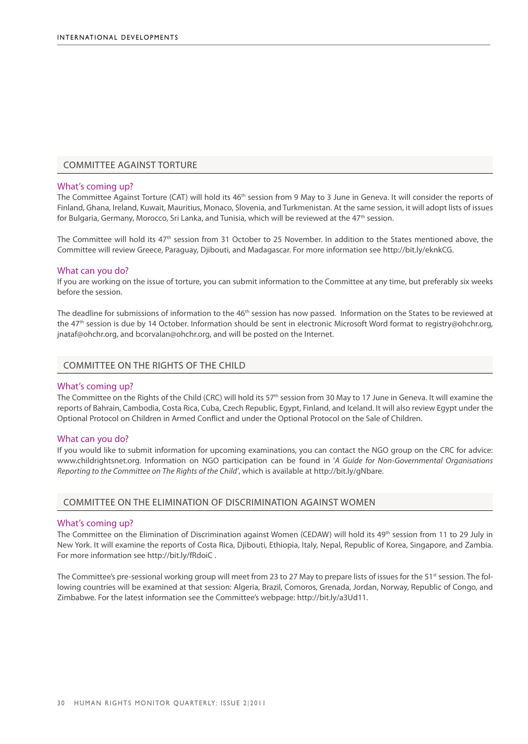#### COMMITTEE AGAINST TORTURE

#### What's coming up?

The Committee Against Torture (CAT) will hold its 46<sup>th</sup> session from 9 May to 3 June in Geneva. It will consider the reports of Finland, Ghana, Ireland, Kuwait, Mauritius, Monaco, Slovenia, and Turkmenistan. At the same session, it will adopt lists of issues for Bulgaria, Germany, Morocco, Sri Lanka, and Tunisia, which will be reviewed at the 47<sup>th</sup> session.

The Committee will hold its 47th session from 31 October to 25 November. In addition to the States mentioned above, the Committee will review Greece, Paraguay, Djibouti, and Madagascar. For more information see http://bit.ly/eknkCG.

#### What can you do?

If you are working on the issue of torture, you can submit information to the Committee at any time, but preferably six weeks before the session.

The deadline for submissions of information to the 46<sup>th</sup> session has now passed. Information on the States to be reviewed at the 47<sup>th</sup> session is due by 14 October. Information should be sent in electronic Microsoft Word format to registry@ohchr.org, jnataf@ohchr.org, and bcorvalan@ohchr.org, and will be posted on the Internet.

#### COMMITTEE ON THE RIGHTS OF THE CHILD

#### What's coming up?

The Committee on the Rights of the Child (CRC) will hold its 57<sup>th</sup> session from 30 May to 17 June in Geneva. It will examine the reports of Bahrain, Cambodia, Costa Rica, Cuba, Czech Republic, Egypt, Finland, and Iceland. It will also review Egypt under the Optional Protocol on Children in Armed Conflict and under the Optional Protocol on the Sale of Children.

#### What can you do?

If you would like to submit information for upcoming examinations, you can contact the NGO group on the CRC for advice: www.childrightsnet.org. Information on NGO participation can be found in '*A Guide for Non-Governmental Organisations Reporting to the Committee on The Rights of the Child'*, which is available at http://bit.ly/gNbare.

#### COMMITTEE ON THE ELIMINATION OF DISCRIMINATION AGAINST WOMEN

#### What's coming up?

The Committee on the Elimination of Discrimination against Women (CEDAW) will hold its 49<sup>th</sup> session from 11 to 29 July in New York. It will examine the reports of Costa Rica, Djibouti, Ethiopia, Italy, Nepal, Republic of Korea, Singapore, and Zambia. For more information see http://bit.ly/fRdoiC .

The Committee's pre-sessional working group will meet from 23 to 27 May to prepare lists of issues for the 51<sup>st</sup> session. The following countries will be examined at that session: Algeria, Brazil, Comoros, Grenada, Jordan, Norway, Republic of Congo, and Zimbabwe. For the latest information see the Committee's webpage: http://bit.ly/a3Ud11.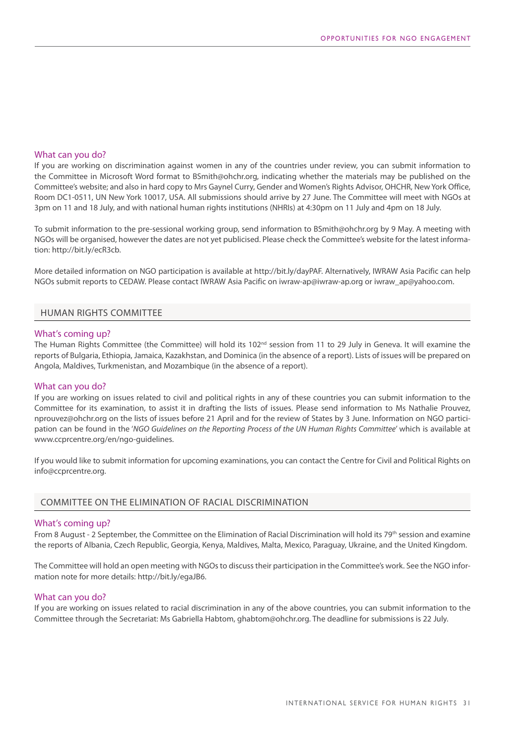#### What can you do?

If you are working on discrimination against women in any of the countries under review, you can submit information to the Committee in Microsoft Word format to BSmith@ohchr.org, indicating whether the materials may be published on the Committee's website; and also in hard copy to Mrs Gaynel Curry, Gender and Women's Rights Advisor, OHCHR, New York Office, Room DC1-0511, UN New York 10017, USA. All submissions should arrive by 27 June. The Committee will meet with NGOs at 3pm on 11 and 18 July, and with national human rights institutions (NHRIs) at 4:30pm on 11 July and 4pm on 18 July.

To submit information to the pre-sessional working group, send information to BSmith@ohchr.org by 9 May. A meeting with NGOs will be organised, however the dates are not yet publicised. Please check the Committee's website for the latest information: http://bit.ly/ecR3cb.

More detailed information on NGO participation is available at http://bit.ly/dayPAF. Alternatively, IWRAW Asia Pacific can help NGOs submit reports to CEDAW. Please contact IWRAW Asia Pacific on iwraw-ap@iwraw-ap.org or iwraw\_ap@yahoo.com.

#### HUMAN RIGHTS COMMITTEE

#### What's coming up?

The Human Rights Committee (the Committee) will hold its 102<sup>nd</sup> session from 11 to 29 July in Geneva. It will examine the reports of Bulgaria, Ethiopia, Jamaica, Kazakhstan, and Dominica (in the absence of a report). Lists of issues will be prepared on Angola, Maldives, Turkmenistan, and Mozambique (in the absence of a report).

#### What can you do?

If you are working on issues related to civil and political rights in any of these countries you can submit information to the Committee for its examination, to assist it in drafting the lists of issues. Please send information to Ms Nathalie Prouvez, nprouvez@ohchr.org on the lists of issues before 21 April and for the review of States by 3 June. Information on NGO participation can be found in the '*NGO Guidelines on the Reporting Process of the UN Human Rights Committee*' which is available at www.ccprcentre.org/en/ngo-guidelines.

If you would like to submit information for upcoming examinations, you can contact the Centre for Civil and Political Rights on info@ccprcentre.org.

#### Committee on the Elimination of Racial Discrimination

#### What's coming up?

From 8 August - 2 September, the Committee on the Elimination of Racial Discrimination will hold its 79<sup>th</sup> session and examine the reports of Albania, Czech Republic, Georgia, Kenya, Maldives, Malta, Mexico, Paraguay, Ukraine, and the United Kingdom.

The Committee will hold an open meeting with NGOs to discuss their participation in the Committee's work. See the NGO information note for more details: http://bit.ly/egaJB6.

#### What can you do?

If you are working on issues related to racial discrimination in any of the above countries, you can submit information to the Committee through the Secretariat: Ms Gabriella Habtom, ghabtom@ohchr.org. The deadline for submissions is 22 July.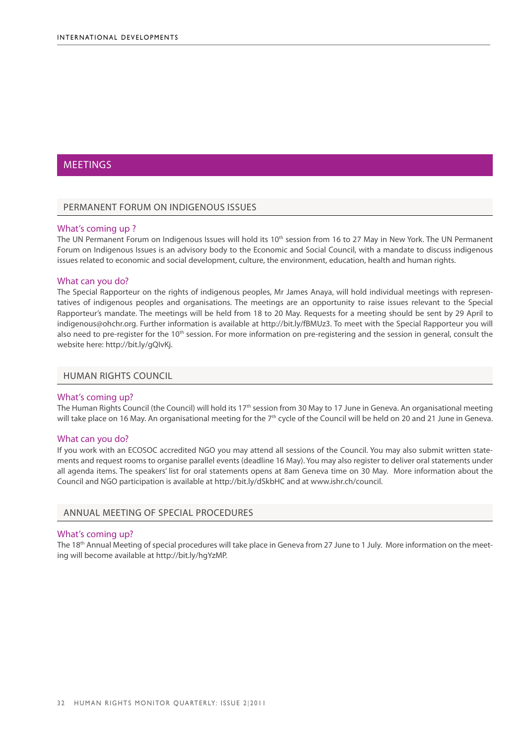#### <span id="page-35-0"></span>**MEETINGS**

#### PERMANENT FORUM ON INDIGENOUS ISSUES

#### What's coming up ?

The UN Permanent Forum on Indigenous Issues will hold its 10<sup>th</sup> session from 16 to 27 May in New York. The UN Permanent Forum on Indigenous Issues is an advisory body to the Economic and Social Council, with a mandate to discuss indigenous issues related to economic and social development, culture, the environment, education, health and human rights.

#### What can you do?

The Special Rapporteur on the rights of indigenous peoples, Mr James Anaya, will hold individual meetings with representatives of indigenous peoples and organisations. The meetings are an opportunity to raise issues relevant to the Special Rapporteur's mandate. The meetings will be held from 18 to 20 May. Requests for a meeting should be sent by 29 April to indigenous@ohchr.org. Further information is available at http://bit.ly/fBMUz3. To meet with the Special Rapporteur you will also need to pre-register for the  $10<sup>th</sup>$  session. For more information on pre-registering and the session in general, consult the website here: http://bit.ly/gQIvKj.

#### HUMAN RIGHTS COUNCIL

#### What's coming up?

The Human Rights Council (the Council) will hold its 17<sup>th</sup> session from 30 May to 17 June in Geneva. An organisational meeting will take place on 16 May. An organisational meeting for the  $7<sup>th</sup>$  cycle of the Council will be held on 20 and 21 June in Geneva.

#### What can you do?

If you work with an ECOSOC accredited NGO you may attend all sessions of the Council. You may also submit written statements and request rooms to organise parallel events (deadline 16 May). You may also register to deliver oral statements under all agenda items. The speakers' list for oral statements opens at 8am Geneva time on 30 May. More information about the Council and NGO participation is available at http://bit.ly/dSkbHC and at www.ishr.ch/council.

#### ANNUAL MEETING OF SPECIAL PROCEDURES

#### What's coming up?

The 18<sup>th</sup> Annual Meeting of special procedures will take place in Geneva from 27 June to 1 July. More information on the meeting will become available at http://bit.ly/hgYzMP.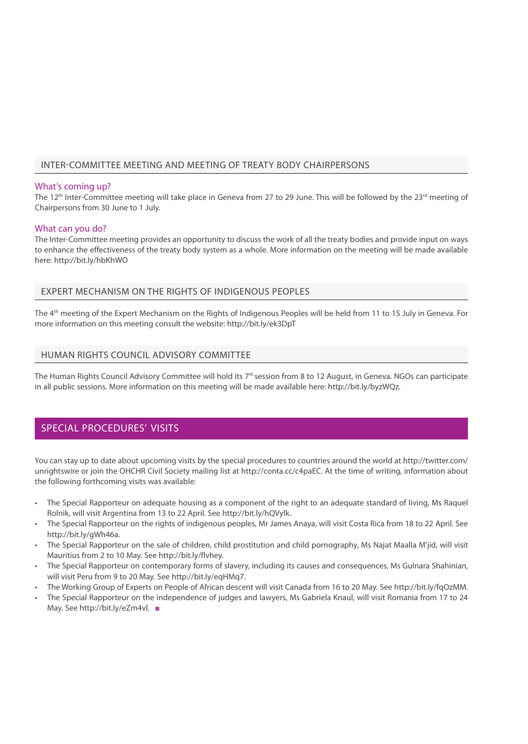#### INTER-COMMITTEE MEETING AND MEETING OF TREATY BODY CHAIRPERSONS

#### What's coming up?

The 12<sup>th</sup> Inter-Committee meeting will take place in Geneva from 27 to 29 June. This will be followed by the 23<sup>rd</sup> meeting of Chairpersons from 30 June to 1 July.

#### What can you do?

The Inter-Committee meeting provides an opportunity to discuss the work of all the treaty bodies and provide input on ways to enhance the effectiveness of the treaty body system as a whole. More information on the meeting will be made available here: http://bit.ly/hbKhWO

#### EXPERT MECHANISM ON THE RIGHTS OF INDIGENOUS PEOPLES

The 4th meeting of the Expert Mechanism on the Rights of Indigenous Peoples will be held from 11 to 15 July in Geneva. For more information on this meeting consult the website: http://bit.ly/ek3DpT

#### HUMAN RIGHTS COUNCIL ADVISORY COMMITTEE

The Human Rights Council Advisory Committee will hold its 7<sup>th</sup> session from 8 to 12 August, in Geneva. NGOs can participate in all public sessions. More information on this meeting will be made available here: http://bit.ly/byzWQz.

#### <span id="page-36-0"></span>SPECIAL PROCEDURES' VISITS

You can stay up to date about upcoming visits by the special procedures to countries around the world at http://twitter.com/ unrightswire or join the OHCHR Civil Society mailing list at http://conta.cc/c4paEC. At the time of writing, information about the following forthcoming visits was available:

- The Special Rapporteur on adequate housing as a component of the right to an adequate standard of living, Ms Raquel Rolnik, will visit Argentina from 13 to 22 April. See http://bit.ly/hQVylk.
- The Special Rapporteur on the rights of indigenous peoples, Mr James Anaya, will visit Costa Rica from 18 to 22 April. See http://bit.ly/gWh46a.
- The Special Rapporteur on the sale of children, child prostitution and child pornography, Ms Najat Maalla M'jid, will visit Mauritius from 2 to 10 May. See http://bit.ly/flvhey.
- The Special Rapporteur on contemporary forms of slavery, including its causes and consequences, Ms Gulnara Shahinian, will visit Peru from 9 to 20 May. See http://bit.ly/eqHMq7.
- The Working Group of Experts on People of African descent will visit Canada from 16 to 20 May. See http://bit.ly/fqOzMM.
- The Special Rapporteur on the independence of judges and lawyers, Ms Gabriela Knaul, will visit Romania from 17 to 24 May. See http://bit.ly/eZm4vl. ■